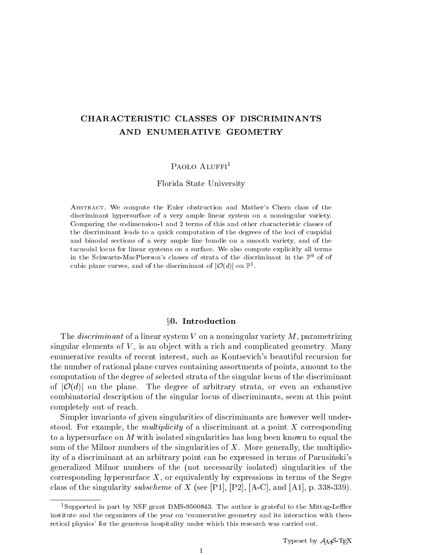# CHARACTERISTIC CLASSES OF DISCRIMINANTS AND ENUMERATIVE GEOMETRY

# PAOLO ALUFFI<sup>1</sup>

## Florida State University

Abstract. We compute the Euler obstruction and Mather's Chern class of the discriminant hypersurface of a very ample linear system on a nonsingular variety. Comparing the codimension-1 and 2 terms of this and other characteristic classes of the discriminant leads to a quick computation of the degrees of the loci of cuspidal and binodal sections of a very ample line bundle on a smooth variety, and of the tacnodal locus for linear systems on a surface. We also compute explicitly all terms in the Schwartz-MacPherson's classes of strata of the discriminant in the  $\mathbb{P}^9$  of of cubic plane curves, and of the discriminant of  $|U(u)|$  on  $\mathbb{P}^1$ .

## x0. Introduction

The *discriminant* of a linear system V on a nonsingular variety  $M$ , parametrizing singular elements of  $V$ , is an object with a rich and complicated geometry. Many enumerative results of recent interest, such as Kontsevich's beautiful recursion for the number of rational plane curves containing assortments of points, amount to the computation of the degree of selected strata of the singular locus of the discriminant of  $j$  on the plane. The degree of arbitrary strategies of arbitrary strata, or even an exhaustive or even an exhaustive or even an exhaustive or even an exhaustive or even an exhaustive or even an exhaustive or even an e combinatorial description of the singular locus of discriminants, seem at this point completely out of reach.

Simpler invariants of given singularities of discriminants are however well understood. For example, the multiplicity of a discriminant at a point X corresponding to a hypersurface on  $M$  with isolated singularities has long been known to equal the sum of the Milnor numbers of the singularities of  $X$ . More generally, the multiplicity of a discriminant at an arbitrary point can be expressed in terms of Parusinski's generalized Milnor numbers of the (not necessarily isolated) singularities of the corresponding hypersurface  $X$ , or equivalently by expressions in terms of the Segre class of the singularity subscheme of X (see [P1], [P2], [A-C], and [A1], p. 338-339).

<sup>&</sup>lt;sup>1</sup>Supported in part by NSF grant DMS-9500843. The author is grateful to the Mittag-Leffler institute and the organizers of the year on 'enumerative geometry and its interaction with theoretical physics' for the generous hospitality under which this research was carried out.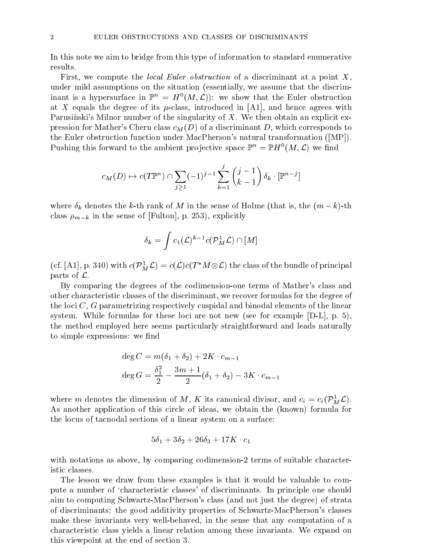In this note we aim to bridge from this type of information to standard enumerative results.

First, we compute the *local Euler obstruction* of a discriminant at a point  $X$ , under mild assumptions on the situation (essentially, we assume that the discriminame is a hypersurface in  $\mathbb{F}^n = H^1(M, L)$ : we show that the Euler obstruction at X equals the degree of its  $\mu$ -class, introduced in [A1], and hence agrees with Parusinski's Milnor number of the singularity of  $X$ . We then obtain an explicit expression for Mather's Chern class  $c_M(D)$  of a discriminant D, which corresponds to the Euler obstruction function under MacPherson's natural transformation ([MP]). Pushing this forward to the ambient projective space  $\mathbb{P}^n = \mathbb{P}H^1(M,L)$  we find

$$
c_M(D) \mapsto c(T\mathbb{P}^n) \cap \sum_{j \ge 1} (-1)^{j-1} \sum_{k=1}^j \binom{j-1}{k-1} \delta_k \cdot [\mathbb{P}^{n-j}]
$$

where  $\delta_k$  denotes the k-th rank of M in the sense of Holme (that is, the  $(m-k)$ -th class  $\rho_{m-k}$  in the sense of [Fulton], p. 253), explicitly

$$
\delta_k=\int c_1(\mathcal{L})^{k-1}c(\mathcal{P}_M^1\mathcal{L})\cap [M]
$$

(cf. [A1], p. 340) with  $c(P_M^*\mathcal{L}) = c(\mathcal{L})c(I \mid M \otimes \mathcal{L})$  the class of the bundle of principal parts of  $\mathcal{L}$ .

By comparing the degrees of the codimension-one terms of Mather's class and other characteristic classes of the discriminant, we recover formulas for the degree of the loci  $C, G$  parametrizing respectively cuspidal and binodal elements of the linear system. While formulas for these loci are not new (see for example  $[D-L]$ , p. 5), the method employed here seems particularly straightforward and leads naturally to simple expressions: we find

$$
\deg C = m(\delta_1 + \delta_2) + 2K \cdot c_{m-1}
$$
  

$$
\deg G = \frac{\delta_1^2}{2} - \frac{3m+1}{2} (\delta_1 + \delta_2) - 3K \cdot c_{m-1}
$$

where *m* denotes the dimension of *M*, **A** its canonical divisor, and  $c_i = c_i (P_M^T \mathcal{L})$ . As another application of this circle of ideas, we obtain the (known) formula for the locus of tacnodal sections of a linear system on a surface:

$$
5\delta_1 + 3\delta_2 + 26\delta_3 + 17K \cdot c_1
$$

with notations as above, by comparing codimension-2 terms of suitable characteristic classes.

The lesson we draw from these examples is that it would be valuable to compute a number of `characteristic classes' of discriminants. In principle one should aim to computing Schwartz-MacPherson's class (and not just the degree) of strata of discriminants: the good additivity properties of Schwartz-MacPherson's classes make these invariants very well-behaved, in the sense that any computation of a characteristic class yields a linear relation among these invariants. We expand on this viewpoint at the end of section 3.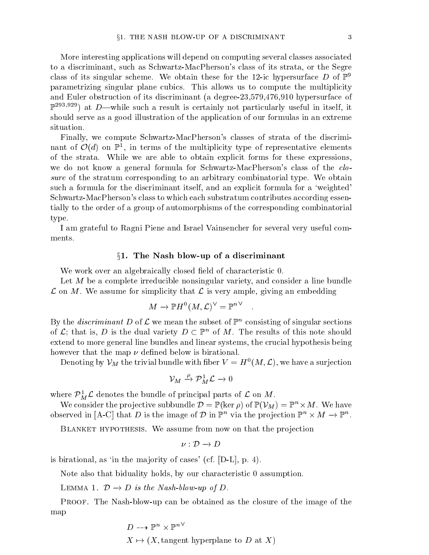More interesting applications will depend on computing several classes associated to a discriminant, such as Schwartz-MacPherson's class of its strata, or the Segre class of its singular scheme. We obtain these for the 12-ic hypersurface D of  $\mathbb{P}^9$ parametrizing singular plane cubics. This allows us to compute the multiplicity and Euler obstruction of its discriminant (a degree-23,579,476,910 hypersurface of  $\mathbb{P}^{293,929}$  at D—while such a result is certainly not particularly useful in itself, it should serve as a good illustration of the application of our formulas in an extreme situation.

Finally, we compute Schwartz-MacPherson's classes of strata of the discrimi- $\max$  of  $\mathcal{O}(a)$  on  $\mathbb{F}^2$ , in terms of the multiplicity type of representative elements of the strata. While we are able to obtain explicit forms for these expressions, we do not know a general formula for Schwartz-MacPherson's class of the closure of the stratum corresponding to an arbitrary combinatorial type. We obtain such a formula for the discriminant itself, and an explicit formula for a 'weighted' Schwartz-MacPherson's class to which each substratum contributes according essentially to the order of a group of automorphisms of the corresponding combinatorial type.

I am grateful to Ragni Piene and Israel Vainsencher for several very useful comments.

## $\S1.$  The Nash blow-up of a discriminant

We work over an algebraically closed field of characteristic 0.

Let M be a complete irreducible nonsingular variety, and consider a line bundle  $\mathcal L$  on M. We assume for simplicity that  $\mathcal L$  is very ample, giving an embedding

$$
M \to {\mathbb P} H^0(M,{\mathcal L})^\vee = {\mathbb P}^n^\vee \quad .
$$

By the *aiscriminant D* of L we mean the subset of F consisting of singular sections of  $\mathcal{L}$ ; that is, D is the dual variety  $D \subset \mathbb{P}^n$  of M. The results of this note should extend to more general line bundles and linear systems, the crucial hypothesis being however that the map  $\nu$  defined below is birational.

Denoting by  $V_M$  the trivial bundle with hber  $V \equiv H^-(M, \mathcal{L})$ , we have a surjection

$$
\mathcal{V}_M \xrightarrow{\rho} \mathcal{P}_M^1 \mathcal{L} \to 0
$$

where  $P_M L$  denotes the bundle of principal parts of L on M.

We consider the projective subbundle  $\nu = \mathbb{F}(\ker \rho)$  of  $\mathbb{F}(V_M) = \mathbb{F}^{\cdot \cdot} \times M$ . We have observed in  $[A-V]$  that D is the image of D in F  $\degree$  via the projection F  $\degree$   $\times$  M  $\rightarrow$  F  $\degree$  .

BLANKET HYPOTHESIS. We assume from now on that the projection

$$
\nu: \mathcal{D} \to D
$$

is birational, as 'in the majority of cases' (cf.  $[D-L]$ , p. 4).

Note also that biduality holds, by our characteristic 0 assumption.

 $\mathbf{r}$  and  $\mathbf{r}$  and  $\mathbf{r}$  is the Nash-blow-up of D.

Proof. The Nash-blow-up can be obtained as the closure of the image of the map

$$
D \dashrightarrow \mathbb{P}^n \times \mathbb{P}^{n \vee}
$$
  

$$
X \mapsto (X, \text{tangent hyperplane to } D \text{ at } X)
$$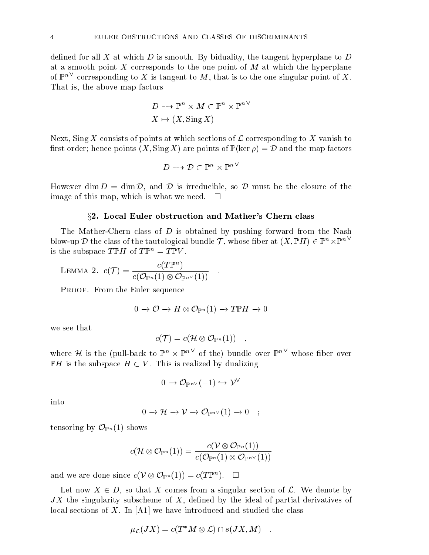defined for all X at which D is smooth. By biduality, the tangent hyperplane to D at a smooth point X corresponds to the one point of  $M$  at which the hyperplane of  $\mathbb{P}^n$  corresponding to  $X$  is tangent to  $M$ , that is to the one singular point of  $X$ . That is, the above map factors

$$
D \dashrightarrow \mathbb{P}^n \times M \subset \mathbb{P}^n \times \mathbb{P}^{n \vee}
$$

$$
X \mapsto (X, \operatorname{Sing} X)
$$

Next, Sing X consists of points at which sections of L corresponding to <sup>X</sup> vanish to rest order; hence points (XI)  $\sim$  1, Sing X) are points of P(ker )  $p$  )  $\sim$  D and the map factors of  $\sim$ 

$$
D\dashrightarrow \mathcal{D}\subset \mathbb{P}^n\times \mathbb{P}^{n\vee}
$$

However dim D = dim D, and D is irreducible, so D must be the closure of the image of this map, which is what we need.  $\square$ 

#### x2. Local Euler obstruction and Mather's Chern class

The Mather-Chern class of D is obtained by pushing forward from the Nash blow-up  $D$  the class of the tautological bundle T, whose fiber at  $(X,\mathbb{P} H) \in \mathbb{P}^n \times \mathbb{P}^n$ is the subspace  $T \mathbb{P} H$  of  $T \mathbb{P}^n = T \mathbb{P} V$ .

$$
\text{LEMMA 2.} \ \ c(\mathcal{T}) = \frac{c(T\mathbb{P}^n)}{c(\mathcal{O}_{\mathbb{P}^n}(1) \otimes \mathcal{O}_{\mathbb{P}^{n\vee}}(1))} \quad.
$$

PROOF. From the Euler sequence

$$
0\to \mathcal{O}\to H\otimes \mathcal{O}_{\mathbb{P}^{\,n}}(1)\to T\mathbb{P} H\to 0
$$

we see that

$$
c(\mathcal{T})=c(\mathcal{H}\otimes\mathcal{O}_{\mathbb{P}^{\,n}}(1))\quad,
$$

where  $H$  is the (pull-back to  $\mathbb{P}^n \times \mathbb{P}^n$  of the) bundle over  $\mathbb{P}^n$  whose fiber over  $\sim$  . This is the subspace H  $\sim$   $\sim$  subspace H  $\sim$  . This is realized by dualizing  $\sim$ 

$$
0\to \mathcal{O}_{\mathbb{P}^{n^\vee}}(-1)\hookrightarrow \mathcal{V}^\vee
$$

into

$$
0 \to \mathcal{H} \to \mathcal{V} \to \mathcal{O}_{\mathbb{P}^{n\vee}}(1) \to 0 \quad ; \quad
$$

tensoring by  $\mathcal{O}_{\mathbb{P}^n}(1)$  shows

$$
c(\mathcal{H}\otimes\mathcal{O}_{\mathbb{P}^{\,n}}(1))=\frac{c(\mathcal{V}\otimes\mathcal{O}_{\mathbb{P}^{\,n}}(1))}{c(\mathcal{O}_{\mathbb{P}^{\,n}}(1)\otimes\mathcal{O}_{\mathbb{P}^{\,n}}\vee(1))}
$$

and we are done since  $c(V \otimes \mathbf{U}_{\mathbb{P}^n}(1)) = c(T \mathbb{P}^n)$ .

 $\mathcal{L}$  and  $\mathcal{L}$  and  $\mathcal{L}$  are singular section of L. We denote by denote by denote by denote by denote by denote by denote by denote by denote by denote by denote by denote by denote by denote by denote by denote  $JX$  the singularity subscheme of  $X$ , defined by the ideal of partial derivatives of local sections of X. In  $[A1]$  we have introduced and studied the class

$$
\mu_{\mathcal{L}}(JX) = c(T^*M \otimes \mathcal{L}) \cap s(JX, M) .
$$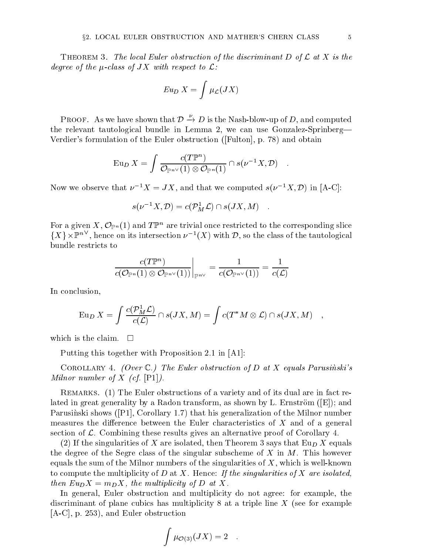The local Euler obstruction of the local Euler obstruction of the discriminant  $\mathcal{A}$  is the discriminant D of L at X is the discriminant D of L at X is the discriminant D of L at X is the discriminant D of L at X is th degree of the  $\mu$ -class of JX with respect to  $\mathcal{L} \colon$ 

$$
Eu_D\ X=\int \mu_{\cal L}(JX)
$$

PROOF. As we have shown that  $\mathcal{D} \to D$  is the Nash-blow-up of D, and computed the relevant tautological bundle in Lemma 2, we can use Gonzalez-Sprinberg-Verdier's formulation of the Euler obstruction ([Fulton], p. 78) and obtain

$$
\operatorname{Eu}_D X = \int \frac{c(T\mathbb{P}^n)}{\mathcal{O}_{\mathbb{P}^{n\vee}}(1) \otimes \mathcal{O}_{\mathbb{P}^n}(1)} \cap s(\nu^{-1}X, \mathcal{D}) \quad .
$$

Now we observe that  $\nu - \Lambda = J\Lambda$ , and that we computed  $s(\nu - \Lambda, \nu)$  in [A-C]:

$$
s(\nu^{-1}X,\mathcal{D})=c(\mathcal{P}_{M}^{1}\mathcal{L})\cap s(JX,M)\quad .
$$

For a given X,  $\mathcal{O}_{\mathbb{P}^n}(1)$  and  $T\mathbb{P}^n$  are trivial once restricted to the corresponding slice  $\{X\}\times \mathbb{F}^n\;$  , nence on its intersection  $\nu^{-1}(X)$  with  $\nu$ , so the class of the tautological bundle restricts to

$$
\left.\frac{c(T\mathbb{P}^n)}{c(\mathcal{O}_{\mathbb{P}^n}(1)\otimes \mathcal{O}_{\mathbb{P}^{n\vee}}(1))}\right|_{\mathbb{P}^{n\vee}}=\frac{1}{c(\mathcal{O}_{\mathbb{P}^{n\vee}}(1))}=\frac{1}{c(\mathcal{L})}
$$

In conclusion,

$$
\operatorname{Eu}_D X = \int \frac{c(\mathcal{P}_M^1 \mathcal{L})}{c(\mathcal{L})} \cap s(JX, M) = \int c(T^* M \otimes \mathcal{L}) \cap s(JX, M) ,
$$

which is the claim.  $\square$ 

Putting this together with Proposition 2.1 in [A1]:

COROLLARY 4. (Over  $\mathbb{C}$ .) The Euler obstruction of D at X equals Parusinski's Milnor number of X (cf.  $[P1]$ ).

Remarks. (1) The Euler obstructions of a variety and of its dual are in fact related in great generality by a Radon transform, as shown by L. Ernström ( $|E|$ ); and Parusinski shows ([P1], Corollary 1.7) that his generalization of the Milnor number measures the difference between the Euler characteristics of  $X$  and of a general section of  $\mathcal{L}$ . Combining these results gives an alternative proof of Corollary 4.

(2) If the singularities of X are isolated, then Theorem 3 says that  $\text{Eu}_D X$  equals the degree of the Segre class of the singular subscheme of X in  $M$ . This however equals the sum of the Milnor numbers of the singularities of  $X$ , which is well-known to compute the multiplicity of  $D$  at  $X$ . Hence: If the singularities of  $X$  are isolated, then  $Eu_D X = m_D X$ , the multiplicity of D at X.

In general, Euler obstruction and multiplicity do not agree: for example, the discriminant of plane cubics has multiplicity 8 at a triple line  $X$  (see for example [A-C], p. 253), and Euler obstruction

$$
\int \mu_{\mathcal{O}(3)}(JX) = 2 \quad .
$$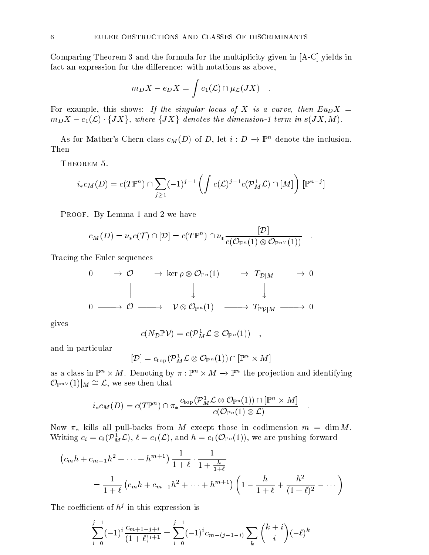Comparing Theorem 3 and the formula for the multiplicity given in [A-C] yields in fact an expression for the difference: with notations as above,

$$
m_D X - e_D X = \int c_1(\mathcal{L}) \cap \mu_{\mathcal{L}}(JX) .
$$

For example, this shows: If the singular locus of X is a curve, then  $Eu_D X =$  $m_D X - c_1(\mathcal{L}) \cdot \{JX\}$ , where  $\{JX\}$  denotes the dimension-1 term in  $s(JX, M)$ .

As for Mather's Chern class  $c_M(D)$  of D, let  $i : D \to \mathbb{P}^n$  denote the inclusion. Then

THEOREM 5.

$$
i_*c_M(D) = c(T\mathbb{P}^n) \cap \sum_{j \ge 1} (-1)^{j-1} \left( \int c(\mathcal{L})^{j-1} c(\mathcal{P}^1_M \mathcal{L}) \cap [M] \right) [\mathbb{P}^{n-j}]
$$

PROOF. By Lemma 1 and 2 we have

$$
c_M(D) = \nu_* c(\mathcal{T}) \cap [\mathcal{D}] = c(T\mathbb{P}^n) \cap \nu_* \frac{[\mathcal{D}]}{c(\mathcal{O}_{\mathbb{P}^n}(1) \otimes \mathcal{O}_{\mathbb{P}^{n\vee}}(1))} .
$$

Tracing the Euler sequences

$$
\begin{array}{ccccccc}\n0 & \longrightarrow & \mathcal{O} & \longrightarrow & \ker \rho \otimes \mathcal{O}_{\mathbb{P}^n}(1) & \longrightarrow & T_{\mathcal{D}|M} & \longrightarrow & 0 \\
 & & \parallel & & \downarrow & & \downarrow & & \\
0 & \longrightarrow & \mathcal{O} & \longrightarrow & \mathcal{V} \otimes \mathcal{O}_{\mathbb{P}^n}(1) & \longrightarrow & T_{\mathbb{P}\mathcal{V}|M} & \longrightarrow & 0\n\end{array}
$$

gives

$$
c(N_{\mathcal{D}} \mathbb{P}{\mathcal{V}}) = c(\mathcal{P}_M^1 \mathcal{L} \otimes \mathcal{O}_{\mathbb{P}^{\,n}}(1)) \quad,
$$

and in particular

$$
[{\mathcal D}] = c_{\rm top} ( {\mathcal P}^1_M{\mathcal L} \otimes {\mathcal O}_{{\mathbb P}^{\,n}}(1)) \cap [{\mathbb P}^n \times M]
$$

as a class in  $\mathbb{F} \times M$ . Denoting by  $\pi : \mathbb{F} \times M \to \mathbb{F}$  the projection and identifying  $\mathcal{O}_{\mathbb{P}^{n}}(1)|_M \cong \mathcal{L}$ , we see then that

$$
i_*c_M(D) = c(T\mathbb{P}^n) \cap \pi_* \frac{c_{\text{top}}(\mathcal{P}_M^1 \mathcal{L} \otimes \mathcal{O}_{\mathbb{P}^n}(1)) \cap [\mathbb{P}^n \times M]}{c(\mathcal{O}_{\mathbb{P}^n}(1) \otimes \mathcal{L})}.
$$

Now  $\pi_*$  kills all pull-backs from M except those in codimension  $m = \dim M$ . Writing  $c_i = c_i(P_M^*\mathcal{L}),$   $\ell = c_1(\mathcal{L}),$  and  $n = c_1(\mathcal{U}_{\mathbb{P}^n}(1)),$  we are pushing forward

$$
(c_m h + c_{m-1} h^2 + \dots + h^{m+1}) \frac{1}{1+\ell} \cdot \frac{1}{1+\frac{h}{1+\ell}}
$$
  
= 
$$
\frac{1}{1+\ell} (c_m h + c_{m-1} h^2 + \dots + h^{m+1}) \left(1 - \frac{h}{1+\ell} + \frac{h^2}{(1+\ell)^2} - \dots \right)
$$

The coefficient of  $h^{\nu}$  in this expression is

$$
\sum_{i=0}^{j-1} (-1)^i \frac{c_{m+1-j+i}}{(1+\ell)^{i+1}} = \sum_{i=0}^{j-1} (-1)^i c_{m-(j-1-i)} \sum_k \binom{k+i}{i} (-\ell)^k
$$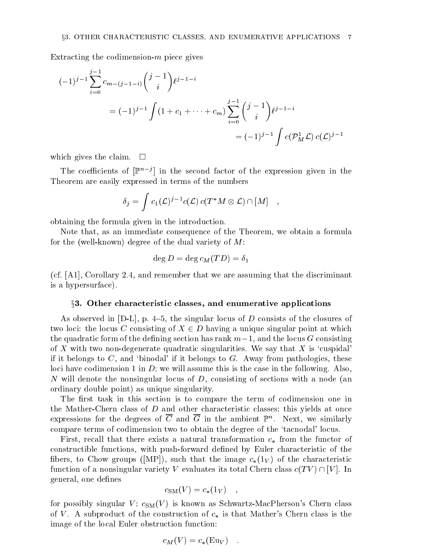Extracting the codimension- $m$  piece gives

$$
(-1)^{j-1} \sum_{i=0}^{j-1} c_{m-(j-1-i)} {j-1 \choose i} \ell^{j-1-i}
$$
  
=  $(-1)^{j-1} \int (1 + c_1 + \dots + c_m) \sum_{i=0}^{j-1} {j-1 \choose i} \ell^{j-1-i}$   
=  $(-1)^{j-1} \int c(\mathcal{P}_M^1 \mathcal{L}) c(\mathcal{L})^{j-1}$ 

which gives the claim.  $\square$ 

I he coefficients of  $|\mathbb{F}|\leq \epsilon$  in the second factor of the expression given in the Theorem are easily expressed in terms of the numbers

$$
\delta_j = \int c_1(\mathcal{L})^{j-1} c(\mathcal{L}) c(T^*M \otimes \mathcal{L}) \cap [M] \quad ,
$$

obtaining the formula given in the introduction.

Note that, as an immediate consequence of the Theorem, we obtain a formula for the (well-known) degree of the dual variety of M:

$$
\deg D=\deg c_M(TD)=\delta_1
$$

(cf. [A1], Corollary 2.4, and remember that we are assuming that the discriminant is a hypersurface).

#### $\S 3.$  Other characteristic classes, and enumerative applications

As observed in  $[D-L]$ , p. 4-5, the singular locus of D consists of the closures of the locities is the locus C consisting of  $\alpha = \alpha$  and  $\alpha$  are which at  $\alpha$  unique singular point  $\alpha$  at which  $\alpha$ the quadratic form of the defining section has rank  $m-1$ , and the locus G consisting of X with two non-degenerate quadratic singularities. We say that X is 'cuspidal' if it belongs to  $C$ , and 'binodal' if it belongs to  $G$ . Away from pathologies, these loci have codimension 1 in  $D$ ; we will assume this is the case in the following. Also, N will denote the nonsingular locus of  $D$ , consisting of sections with a node (an ordinary double point) as unique singularity.

The first task in this section is to compare the term of codimension one in the Mather-Chern class of D and other characteristic classes; this yields at once expressions for the degrees of C and G in the ambient F . Tyext, we similarly compare terms of codimension two to obtain the degree of the `tacnodal' locus.

First, recall that there exists a natural transformation  $c_*$  from the functor of constructible functions, with push-forward dened by Euler characteristic of the fibers, to Chow groups ([MP]), such that the image  $c_*(1_V)$  of the characteristic function of a nonsingular variety V evaluates its total Chern class constant  $\Gamma$ . In  $\Gamma$ . In the case of  $\Gamma$ general, one defines

$$
c_{\rm SM}(V) = c_*(1_V) \quad ,
$$

for possibly singular  $V$ ;  $c_{SM}(V)$  is known as Schwartz-MacPherson's Chern class of V. A subproduct of the construction of  $c_*$  is that Mather's Chern class is the image of the local Euler obstruction function:

$$
c_M(V) = c_*(\text{Eu}_V) .
$$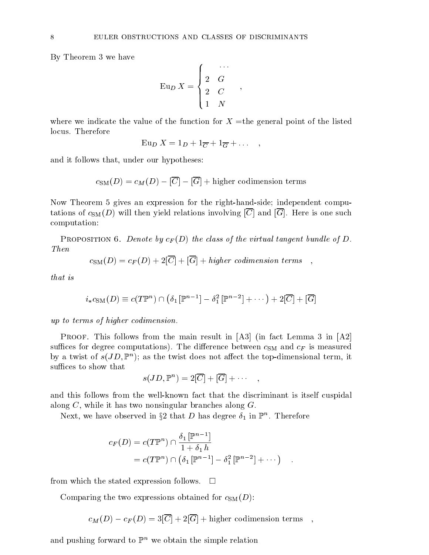By Theorem 3 we have

$$
\operatorname{Eu}_D X = \begin{cases} & \cdots \\ 2 & G \\ 2 & C \\ 1 & N \end{cases},
$$

;

where we indicate the value of the function for  $X =$ the general point of the listed locus. Therefore

$$
\operatorname{Eu}_D X = 1_D + 1_{\overline{C}} + 1_{\overline{G}} + \dots \quad ,
$$

and it follows that, under our hypotheses:

 $c<sub>SM</sub>(D) = c<sub>M</sub>(D) - [\overline{C}] - [\overline{G}]$  + higher codimension terms

Now Theorem 5 gives an expression for the right-hand-side; independent computations of  $c_{SM}(D)$  will then yield relations involving  $|\overline{C}|$  and  $|\overline{G}|$ . Here is one such computation:

PROPOSITION 6. Denote by  $c_F(D)$  the class of the virtual tangent bundle of D. Then

$$
c_{\rm SM}(D) = c_F(D) + 2[\overline{C}] + [\overline{G}] + higher\ codimension\ terms\quad
$$

that is

$$
i_*c_{\text{SM}}(D) \equiv c(T\mathbb{P}^n) \cap \left(\delta_1[\mathbb{P}^{n-1}] - \delta_1^2[\mathbb{P}^{n-2}] + \cdots\right) + 2[\overline{C}] + [\overline{G}]
$$

up to terms of higher codimension.

PROOF. This follows from the main result in  $[A3]$  (in fact Lemma 3 in  $[A2]$ ) suffices for degree computations). The difference between  $c_{SM}$  and  $c_F$  is measured by a twist of  $s(JD,\mathbb{F}_+)$ ; as the twist does not affect the top-dimensional term, it suffices to show that

$$
s(JD, \mathbb{P}^n) = 2[\overline{C}] + [\overline{G}] + \cdots ,
$$

and this follows from the well-known fact that the discriminant is itself cuspidal along C, while it has two nonsingular branches along G.

Next, we have observed in  $32$  that D has degree  $\sigma_1$  in Ferriculation respective

$$
c_F(D) = c(T\mathbb{P}^n) \cap \frac{\delta_1[\mathbb{P}^{n-1}]}{1+\delta_1 h}
$$
  
=  $c(T\mathbb{P}^n) \cap (\delta_1[\mathbb{P}^{n-1}] - \delta_1^2[\mathbb{P}^{n-2}] + \cdots)$ 

from which the stated expression follows.  $\square$ 

Comparing the two expressions obtained for  $c_{SM}(D)$ :

 $c_M(D) - c_F(D) = 3[\overline{C}] + 2[\overline{G}] + \text{higher codimension terms}$ ,

and pushing forward to  $\mathbb{P}^n$  we obtain the simple relation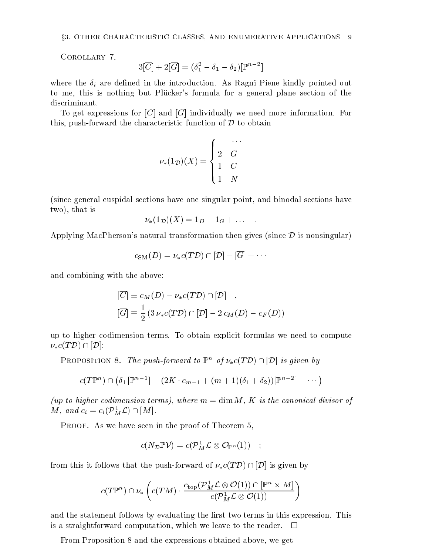Corollary 7.

$$
3[\overline{C}]+2[\overline{G}]=(\delta_1^2-\delta_1-\delta_2)[\mathbb{P}^{n-2}]
$$

where the  $\delta_i$  are defined in the introduction. As Ragni Piene kindly pointed out to me, this is nothing but Plucker's formula for a general plane section of the discriminant.

To get expressions for  $|C|$  and  $|G|$  individually we need more information. For this, push-forward the characteristic function of D to obtain

$$
\nu_*(1_{\mathcal{D}})(X) = \begin{cases} & \cdots \\ 2 & G \\ 1 & C \\ 1 & N \end{cases}
$$

(since general cuspidal sections have one singular point, and binodal sections have two), that is

$$
\nu_*(1_{\mathcal{D}})(X) = 1_D + 1_G + \dots
$$

Applying MacPherson's natural transformation then gives (since  $\mathcal D$  is nonsingular)

$$
c_{\mathrm{SM}}(D)=\nu_*c(T\mathcal{D})\cap[\mathcal{D}]-[\overline{G}]+\cdots
$$

and combining with the above:

$$
\begin{aligned} [\overline{C}] &\equiv c_M(D) - \nu_* c(T\mathcal{D}) \cap [\mathcal{D}] \\ [\overline{G}] &\equiv \frac{1}{2} \left( 3 \, \nu_* c(T\mathcal{D}) \cap [\mathcal{D}] - 2 \, c_M(D) - c_F(D) \right) \end{aligned}
$$

up to higher codimension terms. To obtain explicit formulas we need to compute  $\nu_* c(T \mathcal{D}) \cap [\mathcal{D}]:$ 

PROPOSITION 8. The push-forward to  $\mathbb{P}^n$  of  $\nu_* c(T \mathcal{D}) \cap [\mathcal{D}]$  is given by

$$
c(T\mathbb{P}^n) \cap (\delta_1[\mathbb{P}^{n-1}] - (2K \cdot c_{m-1} + (m+1)(\delta_1 + \delta_2))[\mathbb{P}^{n-2}] + \cdots)
$$

(up to higher codimension terms), where  $m = \dim M$ , K is the canonical divisor of  $M$ , and  $c_i = c_i(\mathcal{V}_M \mathcal{L}) \sqcup [M]$ .

PROOF. As we have seen in the proof of Theorem 5,

$$
c(N_{\mathcal{D}}\mathbb{P}\mathcal{V})=c(\mathcal{P}_{M}^{1}\mathcal{L}\otimes\mathcal{O}_{\mathbb{P}^{n}}(1))\quad;
$$

from this it follows that the push-forward of  $\nu_* c(T \mathcal{D}) \cap [\mathcal{D}]$  is given by

$$
c(T\mathbb{P}^n) \cap \nu_*\left( c(TM) \cdot \frac{c_{\rm top}(\mathcal{P}^1_M \mathcal{L} \otimes \mathcal{O}(1)) \cap [\mathbb{P}^n \times M]}{c(\mathcal{P}^1_M \mathcal{L} \otimes \mathcal{O}(1))} \right)
$$

and the statement follows by evaluating the first two terms in this expression. This is a straightforward computation, which we leave to the reader.  $\Box$ 

From Proposition 8 and the expressions obtained above, we get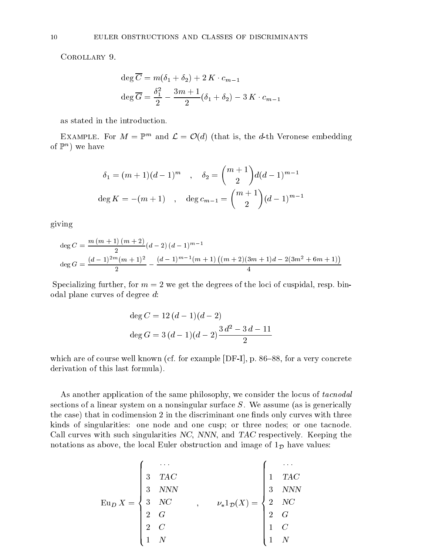COROLLARY 9.

$$
\deg \overline{C} = m(\delta_1 + \delta_2) + 2K \cdot c_{m-1}
$$

$$
\deg \overline{G} = \frac{\delta_1^2}{2} - \frac{3m+1}{2}(\delta_1 + \delta_2) - 3K \cdot c_{m-1}
$$

as stated in the introduction.

EXAMPLE. FOR  $M = \mathbb{F}^m$  and  $\mathcal{L} = \mathcal{O}(d)$  (that is, the *d*-th veronese embedding of  $\mathbb{F}^n$  we have

$$
\delta_1 = (m+1)(d-1)^m \quad , \quad \delta_2 = \binom{m+1}{2} d(d-1)^{m-1}
$$
  

$$
\deg K = -(m+1) \quad , \quad \deg c_{m-1} = \binom{m+1}{2} (d-1)^{m-1}
$$

giving

$$
deg C = \frac{m (m + 1) (m + 2)}{2} (d - 2) (d - 1)^{m - 1}
$$
  

$$
deg G = \frac{(d - 1)^{2m} (m + 1)^2}{2} - \frac{(d - 1)^{m - 1} (m + 1) ((m + 2)(3m + 1)d - 2(3m^2 + 6m + 1))}{4}
$$

Specializing further, for  $m = 2$  we get the degrees of the loci of cuspidal, resp. binodal plane curves of degree d:

$$
deg C = 12(d - 1)(d - 2)
$$
  

$$
deg G = 3(d - 1)(d - 2)\frac{3d^{2} - 3d - 11}{2}
$$

which are of course well known (cf. for example  $[DF-I]$ , p. 86–88, for a very concrete derivation of this last formula).

As another application of the same philosophy, we consider the locus of tacnodal sections of a linear system on a nonsingular surface  $S$ . We assume (as is generically the case) that in codimension 2 in the discriminant one finds only curves with three kinds of singularities: one node and one cusp; or three nodes; or one tacnode. Call curves with such singularities NC, NNN, and TAC respectively. Keeping the notations as above, the local Euler obstruction and image of  $1<sub>D</sub>$  have values:

$$
\operatorname{Eu}_{D} X = \begin{cases} & \cdots \\ & 3 & \text{TAC} \\ & 3 & \text{NNN} \\ & 3 & \text{NC} \\ & 2 & G \\ & 2 & C \\ & 1 & N \end{cases}, \qquad \nu_* 1_{\mathcal{D}}(X) = \begin{cases} & \cdots \\ & 1 & \text{TAC} \\ & 3 & \text{NNN} \\ & 2 & \text{NC} \\ & 2 & G \\ & 1 & C \\ & 1 & N \end{cases}
$$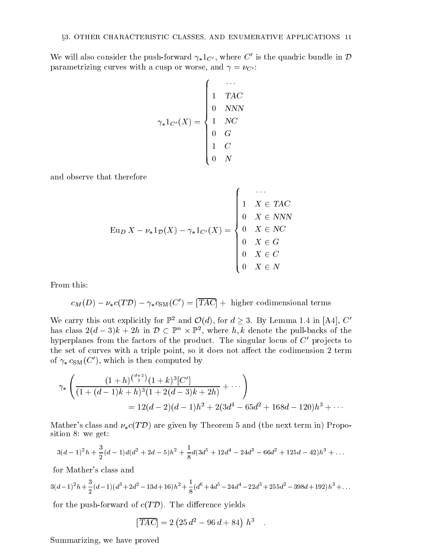and the state of the state of the state of the state of the state of the state of the state of the state of the

We will also consider the push-forward  $\gamma_* 1_{C'}$ , where C' is the quadric bundle in D parametrizing curves with a cusp or worse, and  $\gamma = \nu_{C'}$ :

$$
\gamma_*1_{C'}(X) = \begin{cases} & \cdots \\ & 1 \quad TAC \\ & 0 \quad NNN \\ & 1 \quad NC \\ & 0 \quad G \\ & 1 \quad C \\ & 0 \quad N \end{cases}
$$

and observe that therefore

$$
\operatorname{Eu}_D X - \nu_* 1_{\mathcal{D}}(X) - \gamma_* 1_{C'}(X) = \begin{cases} \cdots \\ 1 & X \in TAC \\ 0 & X \in NNN \\ 0 & X \in G \\ 0 & X \in C \\ 0 & X \in N \end{cases}
$$

From this:

$$
c_M(D) - \nu_* c(T\mathcal{D}) - \gamma_* c_{\text{SM}}(C') = [\overline{TAC}] + \text{ higher codimensional terms}
$$

We carry this out explicitly for  $\mathbb{P}^2$  and  $\mathcal{O}(d)$ , for  $d \geq 3$ . By Lemma 1.4 in [A4], C has class  $z(a - \delta)\kappa + 2n$  in  $D \subseteq \mathbb{F}^n \times \mathbb{F}^n$ , where  $n, \kappa$  denote the pull-backs of the hyperplanes from the factors of the product. The singular locus of  $C'$  projects to the set of curves with a triple point, so it does not affect the codimension 2 term of  $\gamma_* c_{\text{SM}}(C')$ , which is then computed by

$$
\gamma_* \left( \frac{(1+h)^{\binom{d+2}{2}} (1+k)^3 [C']}{(1+(d-1)k+h)^3 (1+2(d-3)k+2h)} + \cdots \right)
$$
  
= 12(d-2)(d-1)h^2 + 2(3d^4 - 65d^2 + 168d - 120)h^3 + \cdots

Mather's class and  $\nu_* c(T \mathcal{D})$  are given by Theorem 5 and (the next term in) Proposition 8: we get:

$$
3(d-1)^2h + \frac{3}{2}(d-1)d(d^2+2d-5)h^2 + \frac{1}{8}d(3d^5+12d^4-24d^3-66d^2+125d-42)h^3 + \dots
$$

for Mather's class and

$$
3(d-1)^2h + \frac{3}{2}(d-1)(d^3+2d^2-13d+16)h^2 + \frac{1}{8}(d^6+4d^5-24d^4-22d^3+255d^2-398d+192)h^3 + \dots
$$

for the push-forward of c(T D). The dierence yields

$$
[\overline{TAC}] = 2 (25 d^2 - 96 d + 84) h^3 .
$$

Summarizing, we have proved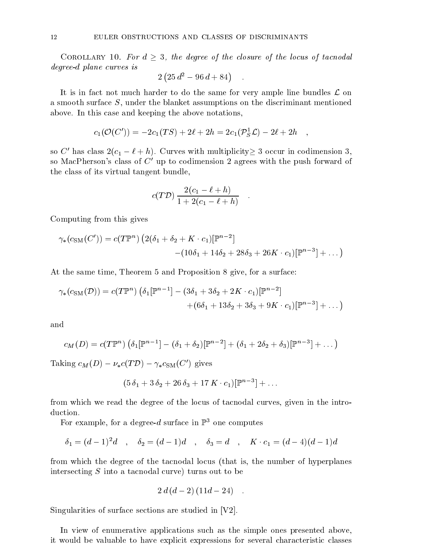Corollary 10. For d 3, the degree of the closure of the locus of tacnodal degree-d plane curves is

$$
2(25d^2 - 96d + 84) \quad .
$$

It is in fact not much harder to do the same for very ample line bundles L on a smooth surface S, under the blanket assumptions on the discriminant mentioned above. In this case and keeping the above notations,

$$
c_1({\cal O}(C')) = -2c_1(TS) + 2\ell + 2h = 2c_1({\cal P}_S^1{\cal L}) - 2\ell + 2h \quad ,
$$

so C' has class  $2(c_1 - \ell + h)$ . Curves with multiplicity  $\geq 3$  occur in codimension 3, so MacPherson's class of  $C'$  up to codimension 2 agrees with the push forward of the class of its virtual tangent bundle,

$$
c(T\mathcal{D})\frac{2(c_1-\ell+h)}{1+2(c_1-\ell+h)}.
$$

Computing from this gives

$$
\gamma_*(c_{\text{SM}}(C')) = c(T\mathbb{P}^n) \left(2(\delta_1 + \delta_2 + K \cdot c_1)[\mathbb{P}^{n-2}] - (10\delta_1 + 14\delta_2 + 28\delta_3 + 26K \cdot c_1)[\mathbb{P}^{n-3}] + \dots\right)
$$

At the same time, Theorem 5 and Proposition 8 give, for a surface:

$$
\gamma_*(c_{\rm SM}(\mathcal{D})) = c(T\mathbb{P}^n) \left( \delta_1[\mathbb{P}^{n-1}] - (3\delta_1 + 3\delta_2 + 2K \cdot c_1)[\mathbb{P}^{n-2}] \right. \\ \left. + (6\delta_1 + 13\delta_2 + 3\delta_3 + 9K \cdot c_1)[\mathbb{P}^{n-3}] + \dots \right)
$$

and

$$
c_M(D) = c(T\mathbb{P}^n) \left( \delta_1[\mathbb{P}^{n-1}] - (\delta_1 + \delta_2)[\mathbb{P}^{n-2}] + (\delta_1 + 2\delta_2 + \delta_3)[\mathbb{P}^{n-3}] + \dots \right)
$$

Taking  $c_M(D) - \nu_* c(T \mathcal{D}) - \gamma_* c_{\text{SM}}(C')$  gives

$$
(5\,\delta_1 + 3\,\delta_2 + 26\,\delta_3 + 17\,K\cdot c_1)[\mathbb{P}^{n-3}] + \dots
$$

from which we read the degree of the locus of tacnodal curves, given in the introduction.

For example, for a degree-d surface in  $\mathbb{P}^3$  one computes

$$
\delta_1 = (d-1)^2 d \quad , \quad \delta_2 = (d-1)d \quad , \quad \delta_3 = d \quad , \quad K \cdot c_1 = (d-4)(d-1)d
$$

from which the degree of the tacnodal locus (that is, the number of hyperplanes intersecting S into a tacnodal curve) turns out to be

$$
2d(d-2)(11d-24) \quad .
$$

Singularities of surface sections are studied in [V2].

In view of enumerative applications such as the simple ones presented above, it would be valuable to have explicit expressions for several characteristic classes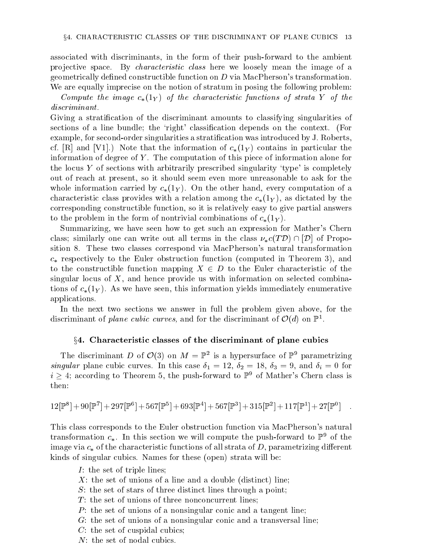associated with discriminants, in the form of their push-forward to the ambient projective space. By *characteristic class* here we loosely mean the image of a geometrically defined constructible function on  $D$  via MacPherson's transformation. We are equally imprecise on the notion of stratum in posing the following problem:

Compute the image  $c_*(1_Y)$  of the characteristic functions of strata Y of the discriminant.

Giving a stratication of the discriminant amounts to classifying singularities of sections of a line bundle; the 'right' classification depends on the context. (For example, for second-order singularities a stratification was introduced by J. Roberts, cf. [R] and [V1].) Note that the information of  $c_*(1_Y)$  contains in particular the information of degree of  $Y$ . The computation of this piece of information alone for the locus Y of sections with arbitrarily prescribed singularity 'type' is completely out of reach at present, so it should seem even more unreasonable to ask for the whole information carried by  $c_{*}(1_{Y})$ . On the other hand, every computation of a characteristic class provides with a relation among the  $c_*(1_Y)$ , as dictated by the corresponding constructible function, so it is relatively easy to give partial answers to the problem in the form of nontrivial combinations of  $c_*(1_Y)$ .

Summarizing, we have seen how to get such an expression for Mather's Chern class; similarly one can write out all terms in the class  $\nu_* c(T \mathcal{D}) \cap [\mathcal{D}]$  of Proposition 8. These two classes correspond via MacPherson's natural transformation  $c_*$  respectively to the Euler obstruction function (computed in Theorem 3), and to the constructible function mapping X 2<sup>D</sup> to the Euler characteristic of the singular locus of  $X$ , and hence provide us with information on selected combinations of  $c_*(1_Y)$ . As we have seen, this information yields immediately enumerative applications.

In the next two sections we answer in full the problem given above, for the discriminant of *plane cubic curves*, and for the discriminant of  $O(d)$  on  $\mathbb{F}^{\text{-}}.$ 

## $\S 4.$  Characteristic classes of the discriminant of plane cubics

The discriminant D of  $O(3)$  on  $M = \mathbb{F}^2$  is a hypersurface of  $\mathbb{F}^2$  parametrizing singular plane cubic curves. In this case  $\delta_1 = 12$ ,  $\delta_2 = 18$ ,  $\delta_3 = 9$ , and  $\delta_i = 0$  for  $i > 4$ ; according to Theorem 5, the push-forward to  $\mathbb{P}^9$  of Mather's Chern class is then:

$$
12[\mathbb{P}^8] + 90[\mathbb{P}^7] + 297[\mathbb{P}^6] + 567[\mathbb{P}^5] + 693[\mathbb{P}^4] + 567[\mathbb{P}^3] + 315[\mathbb{P}^2] + 117[\mathbb{P}^1] + 27[\mathbb{P}^0] \quad .
$$

This class corresponds to the Euler obstruction function via MacPherson's natural transformation  $c_*$ . In this section we will compute the push-forward to  $\mathbb{P}^9$  of the image via  $c_*$  of the characteristic functions of all strata of D, parametrizing different kinds of singular cubics. Names for these (open) strata will be:

- $I$ : the set of triple lines;
- $X$ : the set of unions of a line and a double (distinct) line;
- S: the set of stars of three distinct lines through a point;
- $T$ : the set of unions of three nonconcurrent lines;
- $P$ : the set of unions of a nonsingular conic and a tangent line;
- G: the set of unions of a nonsingular conic and a transversal line;
- C: the set of cuspidal cubics;
- N: the set of nodal cubics.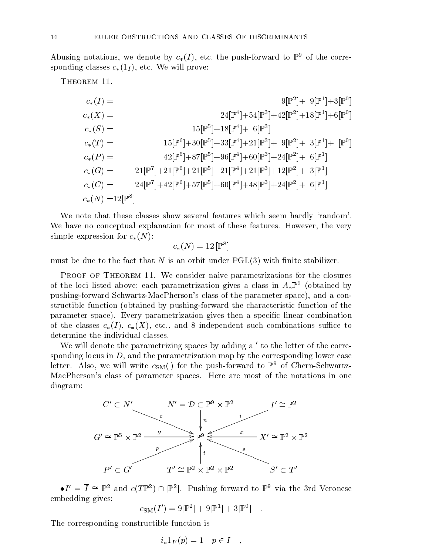Abusing notations, we denote by  $c_*(I)$ , etc. the push-forward to  $\mathbb{P}^9$  of the corresponding classes  $c_*(1_I)$ , etc. We will prove:

THEOREM 11.

$$
c_{*}(I) = 9[\mathbb{P}^{2}] + 9[\mathbb{P}^{1}] + 3[\mathbb{P}^{0}]
$$
  
\n
$$
c_{*}(X) = 24[\mathbb{P}^{4}] + 54[\mathbb{P}^{3}] + 42[\mathbb{P}^{2}] + 18[\mathbb{P}^{1}] + 6[\mathbb{P}^{0}]
$$
  
\n
$$
c_{*}(S) = 15[\mathbb{P}^{6}] + 30[\mathbb{P}^{5}] + 33[\mathbb{P}^{4}] + 21[\mathbb{P}^{3}] + 9[\mathbb{P}^{2}] + 3[\mathbb{P}^{1}] + [\mathbb{P}^{0}]
$$
  
\n
$$
c_{*}(P) = 42[\mathbb{P}^{6}] + 87[\mathbb{P}^{5}] + 96[\mathbb{P}^{4}] + 60[\mathbb{P}^{3}] + 24[\mathbb{P}^{2}] + 6[\mathbb{P}^{1}]
$$
  
\n
$$
c_{*}(G) = 21[\mathbb{P}^{7}] + 21[\mathbb{P}^{6}] + 21[\mathbb{P}^{5}] + 21[\mathbb{P}^{4}] + 21[\mathbb{P}^{3}] + 12[\mathbb{P}^{2}] + 3[\mathbb{P}^{1}]
$$
  
\n
$$
c_{*}(C) = 24[\mathbb{P}^{7}] + 42[\mathbb{P}^{6}] + 57[\mathbb{P}^{5}] + 60[\mathbb{P}^{4}] + 48[\mathbb{P}^{3}] + 24[\mathbb{P}^{2}] + 6[\mathbb{P}^{1}]
$$
  
\n
$$
c_{*}(N) = 12[\mathbb{P}^{8}]
$$

We note that these classes show several features which seem hardly 'random'. We have no conceptual explanation for most of these features. However, the very simple expression for  $c_*(N)$ :

$$
c_*(N)=12\,[\mathbb{P}^8]
$$

must be due to the fact that N is an orbit under  $PGL(3)$  with finite stabilizer.

PROOF OF THEOREM 11. We consider naive parametrizations for the closures of the loci listed above; each parametrization gives a class in  $A_*\mathbb{F}^*$  (obtained by pushing-forward Schwartz-MacPherson's class of the parameter space), and a constructible function (obtained by pushing-forward the characteristic function of the parameter space). Every parametrization gives then a specic linear combination of the classes  $c_*(I)$ ,  $c_*(X)$ , etc., and 8 independent such combinations suffice to determine the individual classes.

We will denote the parametrizing spaces by adding  $a<sup>'</sup>$  to the letter of the corresponding locus in  $D$ , and the parametrization map by the corresponding lower case letter. Also, we will write  $c_{SM}$  of the push-forward to  $\mathbb{P}^9$  of Chern-Schwartz-MacPherson's class of parameter spaces. Here are most of the notations in one diagram:



 $\bullet I = I = \mathbb{F}$  and  $c(I \mathbb{F}^*) \sqcup \mathbb{F}^*$ . Pushing forward to  $\mathbb{F}^*$  via the 3rd veronese embedding gives:

$$
c_{\rm SM}(I') = 9[\mathbb{P}^2] + 9[\mathbb{P}^1] + 3[\mathbb{P}^0] .
$$

The corresponding constructible function is

$$
i_*1_{I'}(p) = 1 \quad p \in I \quad ,
$$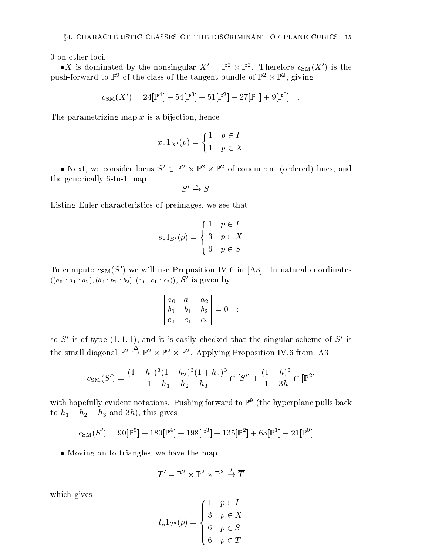$\bullet$ A is dominated by the nonsingular  $A^+=$  P<sup>2</sup>  $\times$  P<sup>2</sup>. Therefore  $c_{\rm SM}(A^-)$  is the push-forward to P<sup>2</sup> of the class of the tangent bundle of P<sup>2</sup>  $\times$  P<sup>2</sup>, giving

$$
c_{\rm SM}(X') = 24[\mathbb{P}^4] + 54[\mathbb{P}^3] + 51[\mathbb{P}^2] + 27[\mathbb{P}^1] + 9[\mathbb{P}^0] .
$$

The parametrizing map  $x$  is a bijection, hence

$$
x_*1_{X'}(p) = \begin{cases} 1 & p \in I \\ 1 & p \in X \end{cases}
$$

• INEXT, we consider focus  $S \subseteq \mathbb{F}^+ \times \mathbb{F}^+ \times \mathbb{F}^+$  of concurrent (ordered) fines, and the generically 6-to-1 map

$$
S' \xrightarrow{s} \overline{S}
$$

Listing Euler characteristics of preimages, we see that

$$
s_*1_{S'}(p) = \begin{cases} 1 & p \in I \\ 3 & p \in X \\ 6 & p \in S \end{cases}
$$

To compute  $c_{\text{SM}}(S')$  we will use Proposition IV.6 in [A3]. In natural coordinates  $((a_0 : a_1 : a_2), (b_0 : b_1 : b_2), (c_0 : c_1 : c_2)), S'$  is given by

$$
\begin{vmatrix} a_0 & a_1 & a_2 \ b_0 & b_1 & b_2 \ c_0 & c_1 & c_2 \end{vmatrix} = 0 ;
$$

so S' is of type  $(1, 1, 1)$ , and it is easily checked that the singular scheme of S' is the small diagonal  $\mathbb{P}^2 \hookrightarrow \mathbb{P}^2 \times \mathbb{P}^2$ . Applying Proposition IV.6 from [A3]:

$$
c_{\rm SM}(S') = \frac{(1+h_1)^3(1+h_2)^3(1+h_3)^3}{1+h_1+h_2+h_3} \cap [S'] + \frac{(1+h)^3}{1+3h} \cap [\mathbb{P}^2]
$$

with hopefully evident notations. Pushing forward to <sup>P</sup><sup>9</sup> (the hyperplane pulls back to  $h_1 + h_2 + h_3$  and 3h), this gives

$$
c_{\rm SM}(S') = 90[\mathbb{P}^5] + 180[\mathbb{P}^4] + 198[\mathbb{P}^3] + 135[\mathbb{P}^2] + 63[\mathbb{P}^1] + 21[\mathbb{P}^0] .
$$

• Moving on to triangles, we have the map

$$
T' = \mathbb{P}^2 \times \mathbb{P}^2 \times \mathbb{P}^2 \xrightarrow{t} \overline{T}
$$

which gives

$$
t_*1_{T'}(p) = \begin{cases} 1 & p \in I \\ 3 & p \in X \\ 6 & p \in S \\ 6 & p \in T \end{cases}
$$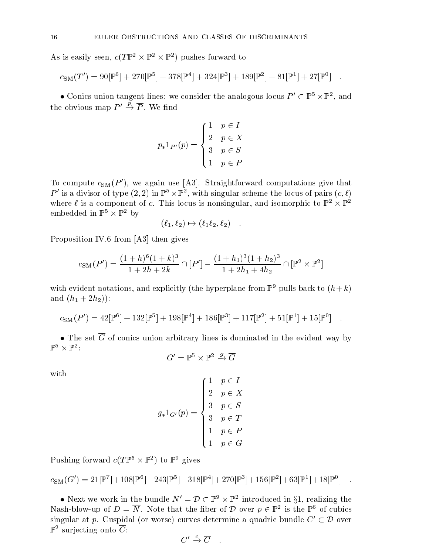As is easily seen,  $c(I \rhd \neg \times \rhd \neg \wedge \rhd \neg)$  pushes forward to

$$
c_{\rm SM}(T') = 90[\mathbb{P}^6] + 270[\mathbb{P}^5] + 378[\mathbb{P}^4] + 324[\mathbb{P}^3] + 189[\mathbb{P}^2] + 81[\mathbb{P}^1] + 27[\mathbb{P}^0] .
$$

 $\bullet$  Conics union tangent lines: we consider the analogous locus  $P_+ \subset \mathbb{F}_+ \times \mathbb{F}_+$ , and the obvious map  $P' \stackrel{\bar{p}}{\rightarrow} \overline{P}$ . We find

$$
p_*1_{P'}(p) = \begin{cases} 1 & p \in I \\ 2 & p \in X \\ 3 & p \in S \\ 1 & p \in P \end{cases}
$$

To compute  $c_{\text{SM}}(P')$ , we again use [A3]. Straightforward computations give that P is a divisor of type  $(z, z)$  in F  $\rightarrow$  F , with singular scheme the locus of pairs  $(c, \ell)$ where  $\ell$  is a component of  $c$ . This locus is nonsingular, and isomorphic to P<sup>2</sup>  $\times$  P<sup>2</sup> embedded in Ft X Ft by

$$
(\ell_1, \ell_2) \mapsto (\ell_1 \ell_2, \ell_2) \quad .
$$

Proposition IV.6 from [A3] then gives

$$
c_{\rm SM}(P') = \frac{(1+h)^6(1+k)^3}{1+2h+2k} \cap [P'] - \frac{(1+h_1)^3(1+h_2)^3}{1+2h_1+4h_2} \cap [\mathbb{P}^2 \times \mathbb{P}^2]
$$

with evident notations, and explicitly (the hyperplane from  $\mathbb{P}^9$  pulls back to  $(h+k)$ and  $(h_1 + 2h_2)$ :

$$
c_{\rm SM}(P') = 42[\mathbb{P}^6] + 132[\mathbb{P}^5] + 198[\mathbb{P}^4] + 186[\mathbb{P}^3] + 117[\mathbb{P}^2] + 51[\mathbb{P}^1] + 15[\mathbb{P}^0] .
$$

• The set  $\overline{G}$  of conics union arbitrary lines is dominated in the evident way by  $P^2 \times P^2$ 

$$
G' = \mathbb{P}^5 \times \mathbb{P}^2 \overset{g}{\to} \overline{G}
$$

with

$$
g_*1_{G'}(p) = \begin{cases} 1 & p \in I \\ 2 & p \in X \\ 3 & p \in S \\ 3 & p \in T \\ 1 & p \in P \\ 1 & p \in G \end{cases}
$$

Pushing forward  $c(I \rhd S \rhd T)$  to  $\rhd$  gives

$$
c_{\rm SM}(G') = 21[\mathbb{P}^7] + 108[\mathbb{P}^6] + 243[\mathbb{P}^5] + 318[\mathbb{P}^4] + 270[\mathbb{P}^3] + 156[\mathbb{P}^2] + 63[\mathbb{P}^1] + 18[\mathbb{P}^0] \quad .
$$

• Next we work in the bundle  $N = D \subseteq \mathbb{F}^2 \times \mathbb{F}^2$  introduced in 31, realizing the Nash-blow-up of  $D = \overline{N}$ . Note that the fiber of D over  $p \in \mathbb{P}^2$  is the  $\mathbb{P}^6$  of cubics  $\mathbb{P}$  introduced in  $\delta 1$ , realizing the singular at p. Cuspidal (or worse) curves determine a quadric bundle  $C' \subset \mathcal{D}$  over D over  $r^-$  surjecting onto  $\cup$  :

$$
C' \xrightarrow{c} \overline{C}
$$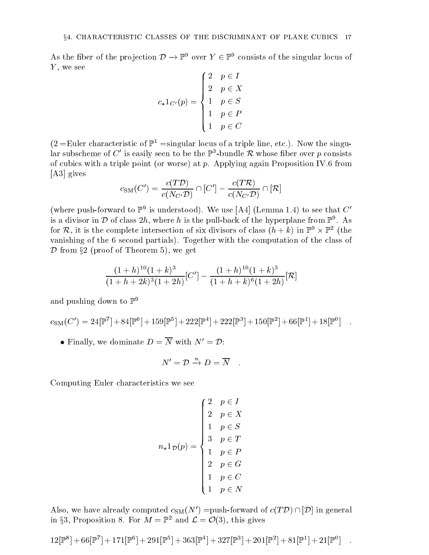As the liber of the projection  $D \to \mathbb{F}^*$  over  $Y \in \mathbb{F}^*$  consists of the singular locus of  $V$ , we see  $Y$ , we see  $(9 \times 7)$ 

$$
c_*1_{C'}(p) = \begin{cases} 2 & p \in I \\ 2 & p \in X \\ 1 & p \in S \\ 1 & p \in P \\ 1 & p \in C \end{cases}
$$

 $(2 = \text{Euler characteristic of } \mathbb{P}^1 = \text{singular locus of a triple line, etc.).}$  Now the singuiar subscheme of  $C$  is easily seen to be the F3-bundle  $\kappa$  whose hber over  $p$  consists of cubics with a triple point (or worse) at  $p$ . Applying again Proposition IV.6 from [A3] gives

$$
c_{\mathrm{SM}}(C')=\frac{c(T\mathcal{D})}{c(N_{C'}\mathcal{D})}\cap [C']-\frac{c(T\mathcal{R})}{c(N_{C'}\mathcal{D})}\cap [\mathcal{R}]
$$

(where push-forward to  $\mathbb{F}^*$  is understood). We use  $|\mathrm{A4}|$  (Lemma 1.4) to see that  $\mathrm{C}$ is a divisor in  $\nu$  of class  $2n$ , where  $n$  is the pull-back of the hyperplane from  $\mathbb{P}^*$  . As for  $\kappa$ , it is the complete intersection of six divisors of class  $(n + \kappa)$  in F $\alpha \times \mathbb{F}$  (the vanishing of the 6 second partials). Together with the computation of the class of  $\mathcal D$  from §2 (proof of Theorem 5), we get

$$
\frac{(1+h)^{10}(1+k)^3}{(1+h+2k)^3(1+2h)}[C'] - \frac{(1+h)^{10}(1+k)^3}{(1+h+k)^6(1+2h)}[\mathcal{R}]
$$

and pushing down to  $\mathbb{P}^9$ 

$$
c_{\rm SM}(C') = 24[\mathbb{P}^7] + 84[\mathbb{P}^6] + 159[\mathbb{P}^5] + 222[\mathbb{P}^4] + 222[\mathbb{P}^3] + 150[\mathbb{P}^2] + 66[\mathbb{P}^1] + 18[\mathbb{P}^0] .
$$

• Finally, we dominate  $D = \overline{N}$  with  $N' = \mathcal{D}$ :

$$
N'={\cal D}\stackrel{n}{\to} D=\overline{N}\quad .
$$

Computing Euler characteristics we see

$$
n_*1_{\mathcal{D}}(p) = \begin{cases} 2 & p \in I \\ 2 & p \in X \\ 1 & p \in S \\ 3 & p \in T \\ 1 & p \in P \\ 2 & p \in G \\ 1 & p \in C \\ 1 & p \in N \end{cases}
$$

Also, we have already computed  $c_{\text{SM}}(N') =$ push-forward of  $c(T \mathcal{D}) \cap [\mathcal{D}]$  in general in go, Proposition 8. For  $M = \mathbb{F}^2$  and  $\mathcal{L} = \mathcal{O}(3)$ , this gives

$$
12[\mathbb{P}^{8}]+66[\mathbb{P}^{7}]+171[\mathbb{P}^{6}]+291[\mathbb{P}^{5}]+363[\mathbb{P}^{4}]+327[\mathbb{P}^{3}]+201[\mathbb{P}^{2}]+81[\mathbb{P}^{1}]+21[\mathbb{P}^{0}]
$$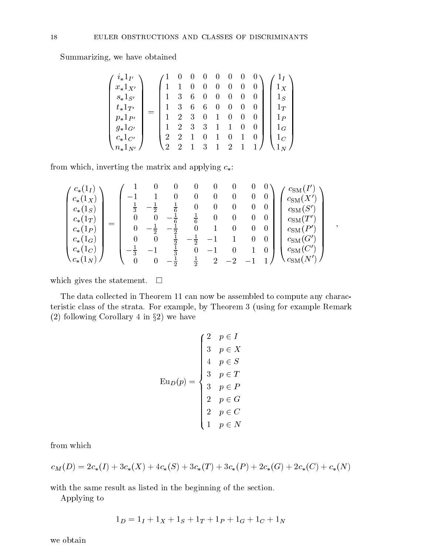Summarizing, we have obtained

| $i_*1_{I'}$       |  |                | $\overline{0}$   | $0 \quad 0 \quad 0$ |                          |     | $\mathbf{0}$   | U |   |         |  |
|-------------------|--|----------------|------------------|---------------------|--------------------------|-----|----------------|---|---|---------|--|
| $x_*1_{X'}$       |  |                |                  | $\theta$            | $\boldsymbol{0}$         |     | $\theta$       |   |   | $1_X$   |  |
| $s_*1_{S'}$       |  |                | -3               | 6                   | $\boldsymbol{0}$         |     | $\mathbf{0}$   |   |   | $1_{S}$ |  |
| $t_*1_{T'}$       |  | $\mathbf{1}$   | - 3              | 6                   | 6                        | - 0 | $\theta$       |   |   | $1_T$   |  |
| $p_*1_{P'}$       |  | $\mathbf{1}$   | 2                | 3                   | $\overline{\phantom{0}}$ |     | $\theta$       |   | 0 | $1_P$   |  |
| $g_*1_{G'}$       |  | $\mathbf{1}$   | $\overline{2}$   | - 3                 | - 3                      | 1   |                |   |   | $1_G$   |  |
| $c_*1_{C'}$       |  | $\overline{2}$ | $^{\mathrm{-2}}$ |                     | $\theta$                 |     |                |   |   | $1_C$   |  |
| $\cdot n_*1_{N'}$ |  | $\mathcal{D}$  | $\overline{2}$   |                     | 3                        |     | $\overline{2}$ |   |   |         |  |

from which, inverting the matrix and applying  $c_*$ :

$$
\begin{pmatrix} c_*(1_I) \\ c_*(1_X) \\ c_*(1_S) \\ c_*(1_T) \\ c_*(1_G) \\ c_*(1_G) \\ c_*(1_G) \\ c_*(1_G) \\ c_*(1_K)) \end{pmatrix} = \begin{pmatrix} 1 & 0 & 0 & 0 & 0 & 0 & 0 & 0 & 0 \\ -1 & 1 & 0 & 0 & 0 & 0 & 0 & 0 \\ \frac{1}{3} & -\frac{1}{2} & \frac{1}{6} & 0 & 0 & 0 & 0 & 0 \\ 0 & 0 & -\frac{1}{6} & \frac{1}{6} & 0 & 0 & 0 & 0 \\ 0 & -\frac{1}{2} & -\frac{1}{2} & 0 & 1 & 0 & 0 & 0 \\ 0 & 0 & \frac{1}{2} & -\frac{1}{2} & -1 & 1 & 0 & 0 \\ -\frac{1}{3} & -1 & \frac{1}{3} & 0 & -1 & 0 & 1 & 0 \\ 0 & 0 & -\frac{1}{2} & \frac{1}{2} & 2 & -2 & -1 & 1 \end{pmatrix} \begin{pmatrix} c_{\rm SM}(I') \\ c_{\rm SM}(X') \\ c_{\rm SM}(S') \\ c_{\rm SM}(T') \\ c_{\rm SM}(G') \\ c_{\rm SM}(G') \\ c_{\rm SM}(G') \\ c_{\rm SM}(N') \end{pmatrix} \quad ,
$$

which gives the statement.  $\square$ 

The data collected in Theorem 11 can now be assembled to compute any characteristic class of the strata. For example, by Theorem 3 (using for example Remark  $(2)$  for an along  $(2)$  in a same  $(2)$  in all  $(2)$  we have  $(2)$  we have  $(2)$ 

$$
\operatorname{Eu}_D(p) = \begin{cases} 2 & p \in I \\ 3 & p \in X \\ 4 & p \in S \\ 3 & p \in T \\ 3 & p \in P \\ 2 & p \in G \\ 2 & p \in C \\ 1 & p \in N \end{cases}
$$

from which

$$
c_M(D) = 2c_*(I) + 3c_*(X) + 4c_*(S) + 3c_*(T) + 3c_*(P) + 2c_*(G) + 2c_*(C) + c_*(N)
$$

with the same result as listed in the beginning of the section.

Applying to

$$
1_D = 1_I + 1_X + 1_S + 1_T + 1_P + 1_G + 1_C + 1_N
$$

we obtain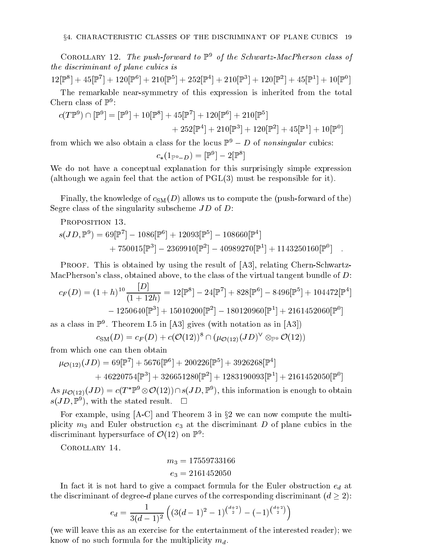COROLLARY 12. The push-forward to  $\mathbb{P}^9$  of the Schwartz-MacPherson class of the discriminant of plane cubics is

 $12\mathbb{P}^{\sim}$  | +  $43\mathbb{P}^{\sim}$  | +  $120\mathbb{P}^{\sim}$  | +  $210\mathbb{P}^{\sim}$  | +  $252\mathbb{P}^{\sim}$  | +  $210\mathbb{P}^{\sim}$  | +  $120\mathbb{P}^{\sim}$  | +  $43\mathbb{P}^{\sim}$  | +  $10\mathbb{P}^{\sim}$  | The remarkable near-symmetry of this expression is inherited from the total

Chern class of  $\mathbb{P}^9$ :

$$
c(T\mathbb{P}^9) \cap [\mathbb{P}^9] = [\mathbb{P}^9] + 10[\mathbb{P}^8] + 45[\mathbb{P}^7] + 120[\mathbb{P}^6] + 210[\mathbb{P}^5] + 252[\mathbb{P}^4] + 210[\mathbb{P}^3] + 120[\mathbb{P}^2] + 45[\mathbb{P}^1] + 10[\mathbb{P}^0]
$$

from which we also obtain a class for the locus  $\mathbb{F}^{\perp} \to D$  of nonsingular cubics:

$$
c_*(1_{\mathbb{P}^9-D})=[\mathbb{P}^9]-2[\mathbb{P}^8]
$$

We do not have a conceptual explanation for this surprisingly simple expression (although we again feel that the action of PGL(3) must be responsible for it).

Finally, the knowledge of  $c_{SM}(D)$  allows us to compute the (push-forward of the) Segre class of the singularity subscheme JD of D:

PROPOSITION 13.

$$
s(JD,\mathbb{P}^9) = 69[\mathbb{P}^7] - 1086[\mathbb{P}^6] + 12093[\mathbb{P}^5] - 108660[\mathbb{P}^4] + 750015[\mathbb{P}^3] - 2369910[\mathbb{P}^2] - 40989270[\mathbb{P}^1] + 1143250160[\mathbb{P}^0] .
$$

PROOF. This is obtained by using the result of [A3], relating Chern-Schwartz-MacPherson's class, obtained above, to the class of the virtual tangent bundle of D:

$$
c_F(D) = (1+h)^{10} \frac{|D|}{(1+12h)} = 12[\mathbb{P}^8] - 24[\mathbb{P}^7] + 828[\mathbb{P}^6] - 8496[\mathbb{P}^5] + 104472[\mathbb{P}^4] - 1250640[\mathbb{P}^3] + 15010200[\mathbb{P}^2] - 180120960[\mathbb{P}^1] + 2161452060[\mathbb{P}^0]
$$

as a class in  $\mathbb{P}^*$ . Theorem I.5 in  $|\mathrm{A3}|$  gives (with notation as in  $|\mathrm{A3}|$ )

 $c_{\mathrm{SM}}(D) = c_F(D) + c(\mathrm{C}(12)) \ \sqcup \ (\mu_{\mathcal{O}(12)}(JD) \quad \otimes_{\mathbb{P}^9} \mathrm{C}(12))$ 

from which one can then obtain

$$
\mu_{\mathcal{O}(12)}(JD) = 69[\mathbb{P}^7] + 5676[\mathbb{P}^6] + 200226[\mathbb{P}^5] + 3926268[\mathbb{P}^4] + 46220754[\mathbb{P}^3] + 326651280[\mathbb{P}^2] + 1283190093[\mathbb{P}^1] + 2161452050[\mathbb{P}^0]
$$

As  $\mu_{\mathcal{O}(12)}(J\nu)=c(I-\mathbb{F}^\ast\otimes\mathcal{O}(12))\cap s(J\nu,\mathbb{F}^\ast)$ , this information is enough to obtain  $s(JD, \mathbb{F})$ , with the stated result.  $\square$ 

For example, using [A-C] and Theorem 3 in x<sup>2</sup> we can now compute the multiplicity  $m_3$  and Euler obstruction  $e_3$  at the discriminant D of plane cubics in the discriminant hypersurface of  $\mathcal{O}(12)$  on  $\mathbb{P}^+$ :

Corollary 14.

$$
m_3=17559733166
$$
  

$$
e_3=2161452050
$$

In fact it is not hard to give a compact formula for the Euler obstruction  $e_d$  at the discriminant of degree-d planes curves of the corresponding discriminant (d  $2$ ):

$$
e_d = \frac{1}{3(d-1)^2} \left( (3(d-1)^2 - 1)^{\binom{d+2}{2}} - (-1)^{\binom{d+2}{2}} \right)
$$

(we will leave this as an exercise for the entertainment of the interested reader); we know of no such formula for the multiplicity  $m_d$ .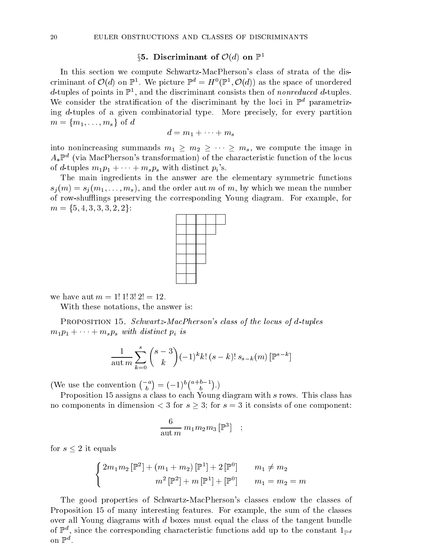## §5. Discriminant of  $\mathcal{O}(d)$  on  $\mathbb{P}^1$

In this section we compute Schwartz-MacPherson's class of strata of the discriminant of  $\mathcal{O}(a)$  on  $\mathbb{P}^1$ . We picture  $\mathbb{P}^1 = H^1(\mathbb{P}^1, \mathcal{O}(a))$  as the space of unordered  $a$ -tuples of points in  $\mathbb{F}_+$ , and the discriminant consists then of nonreduced  $a$ -tuples. We consider the stratification of the discriminant by the loci in  $\mathbb{P}^d$  parametrizing d-tuples of a given combinatorial type. More precisely, for every partition  $m = \{m_1,\ldots,m_s\}$  of d

$$
d = m_1 + \cdots + m_s
$$

into nonincreasing summands  $m_1 \geq m_2 \geq \cdots \geq m_s$ , we compute the image in  $A_*\mathbb{P}^a$  (via MacPherson's transformation) of the characteristic function of the locus of d-tuples  $m_1p_1 + \cdots + m_sp_s$  with distinct  $p_i$ 's.

The main ingredients in the answer are the elementary symmetric functions  $s_j(m) = s_j(m_1,...,m_s)$ , and the order aut m of m, by which we mean the number of row-shuings preserving the corresponding Young diagram. For example, for  $m = \{5, 4, 3, 3, 3, 2, 2\}$ :



we have aut  $m = 1! 1! 3! 2! = 12$ .

With these notations, the answer is:

PROPOSITION 15. Schwartz-MacPherson's class of the locus of d-tuples  $m_1p_1 + \cdots + m_sp_s$  with distinct  $p_i$  is

$$
\frac{1}{\text{aut } m} \sum_{k=0}^{s} {s-3 \choose k} (-1)^k k! (s-k)! s_{s-k}(m) \left[ \mathbb{P}^{s-k} \right]
$$

(We use the convention  $\binom{-a}{b} = (-1)^b \binom{a+b-1}{b}$ .)

Proposition 15 assigns a class to each Young diagram with s rows. This class has no components in dimension < 3 for s 3; for <sup>s</sup> = 3 it consists of one component:

$$
\frac{6}{\mathrm{aut}\,m}\,m_1m_2m_3\,[\mathbb{P}^3]\quad;\quad
$$

for section  $\mathcal{L}$  is equal to the contract of  $\mathcal{L}$ 

$$
\begin{cases}\n2m_1m_2\left[\mathbb{P}^2\right] + (m_1 + m_2)\left[\mathbb{P}^1\right] + 2\left[\mathbb{P}^0\right] & m_1 \neq m_2 \\
m^2\left[\mathbb{P}^2\right] + m\left[\mathbb{P}^1\right] + \left[\mathbb{P}^0\right] & m_1 = m_2 = m\n\end{cases}
$$

The good properties of Schwartz-MacPherson's classes endow the classes of Proposition 15 of many interesting features. For example, the sum of the classes over all Young diagrams with d boxes must equal the class of the tangent bundle of  $\mathbb{F}^n$ , since the corresponding characteristic functions add up to the constant  $1_{\mathbb{P}^d}$  $\mathbf{O} \mathbf{H}^{\top}$ .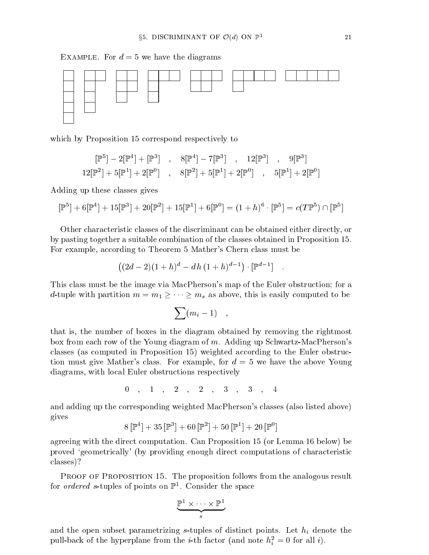EXAMPLE. For  $d = 5$  we have the diagrams



which by Proposition 15 correspond respectively to

$$
[\mathbb{P}^{5}] - 2[\mathbb{P}^{4}] + [\mathbb{P}^{3}] , 8[\mathbb{P}^{4}] - 7[\mathbb{P}^{3}] , 12[\mathbb{P}^{3}] , 9[\mathbb{P}^{3}]
$$
  
12
$$
[ \mathbb{P}^{2}] + 5[\mathbb{P}^{1}] + 2[\mathbb{P}^{0}] , 8[\mathbb{P}^{2}] + 5[\mathbb{P}^{1}] + 2[\mathbb{P}^{0}] , 5[\mathbb{P}^{1}] + 2[\mathbb{P}^{0}]
$$

Adding up these classes gives

$$
[\mathbb{P}^5] + 6[\mathbb{P}^4] + 15[\mathbb{P}^3] + 20[\mathbb{P}^2] + 15[\mathbb{P}^1] + 6[\mathbb{P}^0] = (1+h)^6 \cdot [\mathbb{P}^5] = c(T\mathbb{P}^5) \cap [\mathbb{P}^5]
$$

Other characteristic classes of the discriminant can be obtained either directly, or by pasting together a suitable combination of the classes obtained in Proposition 15. For example, according to Theorem 5 Mather's Chern class must be

$$
((2d-2)(1+h)^d - d h (1+h)^{d-1}) \cdot [\mathbb{P}^{d-1}] .
$$

This class must be the image via MacPherson's map of the Euler obstruction; for a d-tuple with partition  $m = m_1 \geq \cdots \geq m_s$  as above, this is easily computed to be

$$
\sum (m_i-1) \quad ,
$$

that is, the number of boxes in the diagram obtained by removing the rightmost box from each row of the Young diagram of m. Adding up Schwartz-MacPherson's classes (as computed in Proposition 15) weighted according to the Euler obstruction must give Mather's class. For example, for  $d = 5$  we have the above Young diagrams, with local Euler obstructions respectively

$$
0\quad ,\quad 1\quad ,\quad 2\quad ,\quad 2\quad ,\quad 3\quad ,\quad 3\quad ,\quad 4
$$

and adding up the corresponding weighted MacPherson's classes (also listed above) gives

$$
8\left[\mathbb{P}^4\right]+35\left[\mathbb{P}^3\right]+60\left[\mathbb{P}^2\right]+50\left[\mathbb{P}^1\right]+20\left[\mathbb{P}^0\right]
$$

agreeing with the direct computation. Can Proposition 15 (or Lemma 16 below) be proved `geometrically' (by providing enough direct computations of characteristic classes)?

PROOF OF PROPOSITION 15. The proposition follows from the analogous result for *ordered s*-tuples of points on  $\mathbb{F}^-.$  Consider the space

$$
\underbrace{\mathbb{P}^1\times\cdots\times\mathbb{P}^1}_s
$$

and the open subset parametrizing  $s$ -tuples of distinct points. Let  $h_i$  denote the pull-back of the hyperplane from the *i*-th factor (and note  $n_{\tilde{i}} = 0$  for all *i*).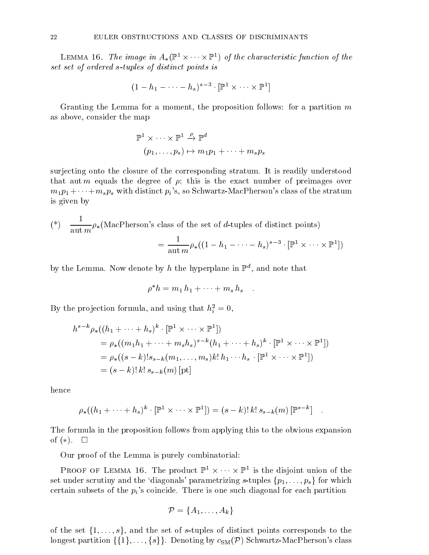LEMMA 10. The image in  $A_*(\mathbb{F}^-\times\cdots\times\mathbb{F}^-)$  of the characteristic function of the set set of ordered s-tuples of distinct points is

$$
(1-h_1-\cdots-h_s)^{s-3}\cdot[\mathbb{P}^1\times\cdots\times\mathbb{P}^1]
$$

Granting the Lemma for a moment, the proposition follows: for a partition  $m$ as above, consider the map

$$
\mathbb{P}^{1} \times \cdots \times \mathbb{P}^{1} \xrightarrow{\rho} \mathbb{P}^{d}
$$

$$
(p_{1}, \ldots, p_{s}) \mapsto m_{1}p_{1} + \cdots + m_{s}p_{s}
$$

surjecting onto the closure of the corresponding stratum. It is readily understood that aut *m* equals the degree of  $\rho$ ; this is the exact number of preimages over  $m_1p_1 + \cdots + m_sp_s$  with distinct  $p_i$ 's, so Schwartz-MacPherson's class of the stratum is given by

$$
(*) \quad \frac{1}{\text{aut } m} \rho_* (\text{MacPherson's class of the set of } d \text{-tuples of distinct points})
$$

$$
= \frac{1}{\text{aut } m} \rho_* ((1 - h_1 - \dots - h_s)^{s-3} \cdot [\mathbb{P}^1 \times \dots \times \mathbb{P}^1])
$$

by the Lemma. Now denote by  $n$  the hyperplane in  $\mathbb{F}$  , and note that

$$
\rho^* h = m_1 h_1 + \cdots + m_s h_s \quad .
$$

By the projection formula, and using that  $n_i = 0$ ,

$$
h^{s-k} \rho_*((h_1 + \dots + h_s)^k \cdot [\mathbb{P}^1 \times \dots \times \mathbb{P}^1])
$$
  
=  $\rho_*((m_1h_1 + \dots + m_sh_s)^{s-k}(h_1 + \dots + h_s)^k \cdot [\mathbb{P}^1 \times \dots \times \mathbb{P}^1])$   
=  $\rho_*((s-k)!s_{s-k}(m_1, \dots, m_s)k! h_1 \cdots h_s \cdot [\mathbb{P}^1 \times \dots \times \mathbb{P}^1])$   
=  $(s-k)! k! s_{s-k}(m) [\text{pt}]$ 

hence

$$
\rho_*((h_1+\cdots+h_s)^k\cdot[\mathbb{P}^1\times\cdots\times\mathbb{P}^1])=(s-k)!\,k!\,s_{s-k}(m)\,[\mathbb{P}^{s-k}] \quad .
$$

The formula in the proposition follows from applying this to the obvious expansion of  $(*)$ .  $\square$ 

Our proof of the Lemma is purely combinatorial:

PROOF OF LEMMA TO. The product **F** x ··· x **F** is the disjoint union of the set under scrutiny and the 'diagonals' parametrizing s-tuples  $\{p_1, \ldots, p_s\}$  for which certain subsets of the  $p_i$ 's coincide. There is one such diagonal for each partition

$$
\mathcal{P} = \{A_1, \ldots, A_k\}
$$

of the set  $\{1,\ldots,s\}$ , and the set of s-tuples of distinct points corresponds to the longest partition  $\{\{1\},\ldots,\{s\}\}\$ . Denoting by  $c_{\text{SM}}(\mathcal{P})$  Schwartz-MacPherson's class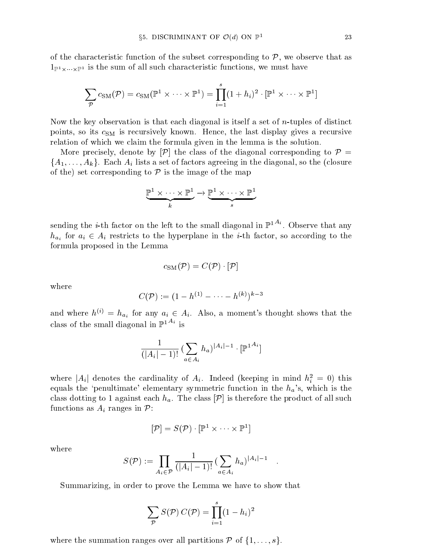of the characteristic function of the subset corresponding to  $P$  , we observe that as  $P$ PI-X" XII-<sup>---</sup> is the sum of all such characteristic functions, we must have must have must have the sum of the

$$
\sum_{\mathcal{P}} c_{\text{SM}}(\mathcal{P}) = c_{\text{SM}}(\mathbb{P}^1 \times \cdots \times \mathbb{P}^1) = \prod_{i=1}^s (1+h_i)^2 \cdot [\mathbb{P}^1 \times \cdots \times \mathbb{P}^1]
$$

Now the key observation is that each diagonal is itself a set of n-tuples of distinct points, so its  $c_{SM}$  is recursively known. Hence, the last display gives a recursive relation of which we claim the formula given in the lemma is the solution.

More precisely, denote by  $[\mathcal{P}]$  the class of the diagonal corresponding to  $\mathcal{P} =$  ${A_1,\ldots,A_k}$ . Each  $A_i$  lists a set of factors agreeing in the diagonal, so the (closure of the) set corresponding to P is the image of the map

$$
\underbrace{\mathbb{P}^1\times\cdots\times\mathbb{P}^1}_{k}\to \underbrace{\mathbb{P}^1\times\cdots\times\mathbb{P}^1}_{s}
$$

sending the *i*-th factor on the left to the small diagonal in  $\mathbb{P}^{1,A_i}$ . Observe that any  $h_{a_i}$  for  $a_i \in A_i$  restricts to the hyperplane in the *i*-th factor, so according to the formula proposed in the Lemma

$$
c_{\text{SM}}(\mathcal{P})=C(\mathcal{P})\cdot[\mathcal{P}]
$$

where

$$
C(\mathcal{P}) := (1 - h^{(1)} - \dots - h^{(k)})^{k-3}
$$

and where  $h^{(i)} = h_{a_i}$  for any  $a_i \in A_i$ . Also, a moment's thought shows that the class of the small diagonal in  $\mathbb{P}^{1,A_i}$  is

$$
\frac{1}{(|A_i|-1)!} \left(\sum_{a \in A_i} h_a\right)^{|A_i|-1} \cdot [\mathbb{P}^{1^{A_i}}]
$$

where  $|A_i|$  denotes the cardinality of  $A_i$ . Indeed (keeping in mind  $n_i^* = 0$ ) this equals the 'penultimate' elementary symmetric function in the  $h_a$ 's, which is the class dotting to 1 against each  $h_a$ . The class  $[\mathcal{P}]$  is therefore the product of all such functions as  $A_i$  ranges in  $\mathcal{P}$ :

$$
[\mathcal{P}] = S(\mathcal{P}) \cdot [\mathbb{P}^1 \times \cdots \times \mathbb{P}^1]
$$

where

$$
S(\mathcal{P}) := \prod_{A_i \in \mathcal{P}} \frac{1}{(|A_i| - 1)!} \left( \sum_{a \in A_i} h_a \right)^{|A_i| - 1} .
$$

Summarizing, in order to prove the Lemma we have to show that

$$
\sum_{\mathcal{P}} S(\mathcal{P}) C(\mathcal{P}) = \prod_{i=1}^{s} (1 - h_i)^2
$$

where the summation ranges over all partitions P of f1;:::;sg.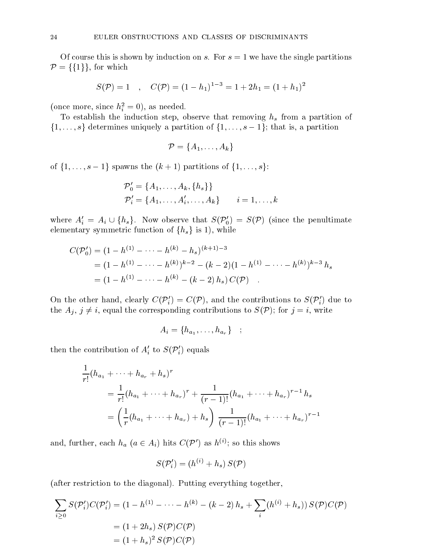Of course this is shown by induction on s. For  $s = 1$  we have the single partitions  $\mathcal{P} = \{\{1\}\}\text{, for which }$ 

$$
S(\mathcal{P}) = 1
$$
,  $C(\mathcal{P}) = (1 - h_1)^{1-3} = 1 + 2h_1 = (1 + h_1)^2$ 

(once more, since  $n_{\tilde{i}} = 0$ ), as needed.

To establish the induction step, observe that removing  $h_s$  from a partition of  $\{1,\ldots,s\}$  determines uniquely a partition of  $\{1,\ldots,s-1\}$ ; that is, a partition

$$
\mathcal{P} = \{A_1, \ldots, A_k\}
$$

of  $\{1,\ldots,s-1\}$  spawns the  $(k+1)$  partitions of  $\{1,\ldots,s\}$ :

$$
\mathcal{P}'_0 = \{A_1, \dots, A_k, \{h_s\}\}\
$$
  

$$
\mathcal{P}'_i = \{A_1, \dots, A'_i, \dots, A_k\} \qquad i = 1, \dots, k
$$

where  $A_i' = A_i \cup \{h_s\}$ . Now observe that  $S(\mathcal{P}_0') = S(\mathcal{P})$  (since the penultimate elementary symmetric function of  $\{h_s\}$  is 1), while

$$
C(\mathcal{P}'_0) = (1 - h^{(1)} - \dots - h^{(k)} - h_s)^{(k+1)-3}
$$
  
=  $(1 - h^{(1)} - \dots - h^{(k)})^{k-2} - (k-2)(1 - h^{(1)} - \dots - h^{(k)})^{k-3} h_s$   
=  $(1 - h^{(1)} - \dots - h^{(k)} - (k-2) h_s) C(\mathcal{P})$ .

On the other hand, clearly  $C(\mathcal{P}'_i) = C(\mathcal{P})$ , and the contributions to  $S(\mathcal{P}'_i)$  due to the  $A_j$ ,  $j \neq i$ , equal the corresponding contributions to  $S(\mathcal{P})$ ; for  $j = i$ , write

$$
A_i = \{h_{a_1}, \ldots, h_{a_r}\} \quad ; \quad
$$

then the contribution of  $A_i'$  to  $S(\mathcal{P}_i')$  equals

$$
\frac{1}{r!}(h_{a_1} + \dots + h_{a_r} + h_s)^r
$$
\n
$$
= \frac{1}{r!}(h_{a_1} + \dots + h_{a_r})^r + \frac{1}{(r-1)!}(h_{a_1} + \dots + h_{a_r})^{r-1}h_s
$$
\n
$$
= \left(\frac{1}{r}(h_{a_1} + \dots + h_{a_r}) + h_s\right)\frac{1}{(r-1)!}(h_{a_1} + \dots + h_{a_r})^{r-1}
$$

and, further, each  $n_a$  ( $a \in A_i$ ) mus  $C(P)$  as  $n \vee$ ; so this shows

$$
S(\mathcal{P}'_i) = (h^{(i)} + h_s) S(\mathcal{P})
$$

(after restriction to the diagonal). Putting everything together,

$$
\sum_{i\geq 0} S(\mathcal{P}'_i)C(\mathcal{P}'_i) = (1 - h^{(1)} - \dots - h^{(k)} - (k - 2) h_s + \sum_i (h^{(i)} + h_s)) S(\mathcal{P})C(\mathcal{P})
$$
  
= (1 + 2h\_s) S(\mathcal{P})C(\mathcal{P})  
= (1 + h\_s)^2 S(\mathcal{P})C(\mathcal{P})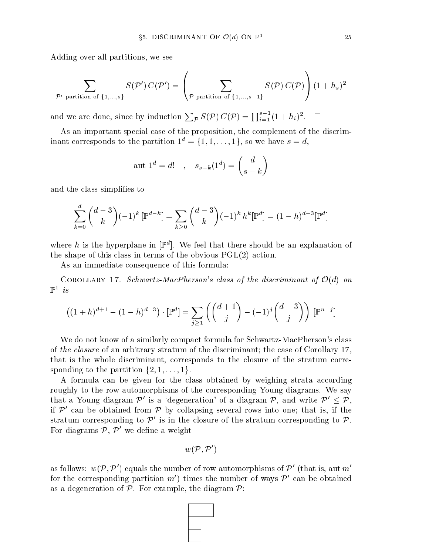Adding over all partitions, we see

$$
\sum_{\mathcal{P}' \text{ partition of }\{1,...,s\}} S(\mathcal{P}')\,C(\mathcal{P}') = \left(\sum_{\mathcal{P} \text{ partition of }\{1,...,s-1\}} S(\mathcal{P})\,C(\mathcal{P})\right)\,(1+h_s)^2
$$

and we are done, since by induction  $\sum_{\mathcal{P}} S(\mathcal{P}) C(\mathcal{P}) = \prod_{i=1}^{s-1} (1 + h_i)^2$ .  $\Box$ 

As an important special case of the proposition, the complement of the discriminant corresponds to the partition  $1^d = \{1, 1, \ldots, 1\}$ , so we have  $s = d$ ,

$$
aut 1d = d! , ss-k(1d) = {d \choose s-k}
$$

and the class simplifies to

$$
\sum_{k=0}^{d} {d-3 \choose k} (-1)^k \left[ \mathbb{P}^{d-k} \right] = \sum_{k \ge 0} {d-3 \choose k} (-1)^k h^k [\mathbb{P}^d] = (1-h)^{d-3} [\mathbb{P}^d]
$$

where  $n$  is the hyperplane in  $|\mathbb{F}|$ . We feel that there should be an explanation of the shape of this class in terms of the obvious PGL(2) action.

As an immediate consequence of this formula:

COROLLARY 17. Schwartz-MacPherson's class of the discriminant of  $\mathcal{O}(d)$  on  $\Gamma$  is

$$
((1+h)^{d+1} - (1-h)^{d-3}) \cdot [\mathbb{P}^d] = \sum_{j \ge 1} \left( \binom{d+1}{j} - (-1)^j \binom{d-3}{j} \right) [\mathbb{P}^{n-j}]
$$

We do not know of a similarly compact formula for Schwartz-MacPherson's class of the closure of an arbitrary stratum of the discriminant; the case of Corollary 17, that is the whole discriminant, corresponds to the closure of the stratum corresponding to the partition  $\{2, 1, \ldots, 1\}.$ 

A formula can be given for the class obtained by weighing strata according roughly to the row automorphisms of the corresponding Young diagrams. We say that a Young diagram  $\mathcal{P}'$  is a 'degeneration' of a diagram  $\mathcal{P}$ , and write  $\mathcal{P}' < \mathcal{P}$ , if  $P$  can be obtained from  $P$  by conapsing several rows into one; that is, if the  $\blacksquare$ stratum corresponding to  $P$  is in the closure of the stratum corresponding to  $P$ . For diagrams  $P, P$  we define a weight

$$
w(\mathcal{P},\mathcal{P}')
$$

as follows:  $w(\mathcal{P}, \mathcal{P}')$  equals the number of row automorphisms of  $\mathcal{P}'$  (that is, aut m' for the corresponding partition  $m$  ) times the number of ways  $P$  can be obtained as a degeneration of P. For example, the diagram P:

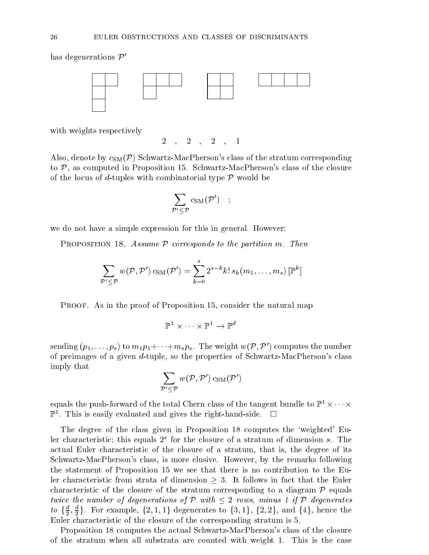nas degenerations  $\nu$ 



with weights respectively

 $2, 2, 2, 1$ 

Also, denote by  $c_{\text{SM}}(\mathcal{P})$  Schwartz-MacPherson's class of the stratum corresponding to P, as computed in Proposition 15. Schwartz-MacPherson's class of the closure of the locus of d-tuples with combinatorial type P would be

$$
\sum_{{\cal P}'\le {\cal P}} c_{\rm SM}({\cal P}')\quad ;\quad
$$

we do not have a simple expression for this in general. However:

Proposition 18. Assume P corresponds to the partition m. Then

$$
\sum_{{\mathcal{P}}'\leq {\mathcal{P}}} w({\mathcal{P}},{\mathcal{P}}')\,c_{\mathrm{SM}}({\mathcal{P}}') = \sum_{k=0}^s 2^{s-k} k!\,s_k(m_1,\ldots,m_s)\,[{\mathbb{P}}^k]
$$

PROOF. As in the proof of Proposition 15, consider the natural map

$$
\mathbb{P}^1\times\cdots\times\mathbb{P}^1\to\mathbb{P}^d
$$

sending  $(p_1,\ldots,p_s)$  to  $m_1p_1+\cdots+m_sp_s$ . The weight  $w(\mathcal{P}, \mathcal{P}')$  computes the number of preimages of a given d-tuple, so the properties of Schwartz-MacPherson's class imply that

$$
\sum_{{\mathcal P}'\leq {\mathcal P}} w({\mathcal P},{\mathcal P}') \, c_{\rm SM}({\mathcal P}')
$$

equals the push-forward of the total Chern class of the tangent bundle to  $\mathbb{F}_1 \times \cdots \times \mathbb{F}_p$  $\mathbb{F}$  . This is easily evaluated and gives the right-hand-side.  $\Box$ 

The degree of the class given in Proposition 18 computes the `weighted' Euier characteristic; this equals  $Z^*$  for the closure of a stratum of dimension  $s$ . The actual Euler characteristic of the closure of a stratum, that is, the degree of its Schwartz-MacPherson's class, is more elusive. However, by the remarks following the statement of Proposition 15 we see that there is no contribution to the Euler characteristic from strata of dimension 3. It follows in fact that the Euler characteristic of the stratum corresponding to the stratum corresponding to a diagram Pequality of the stratum twice the number of degenerations of P with <sup>2</sup> rows, minus <sup>1</sup> if P degenerates  $\{a\}$   $\{\frac{1}{2}, \frac{1}{2}\}$ . For example, {2, 1, 1} degenerates to {3, 1}, {2, 2}, and {4}, nence the Euler characteristic of the closure of the corresponding stratum is 5.

Proposition 18 computes the actual Schwartz-MacPherson's class of the closure of the stratum when all substrata are counted with weight 1. This is the case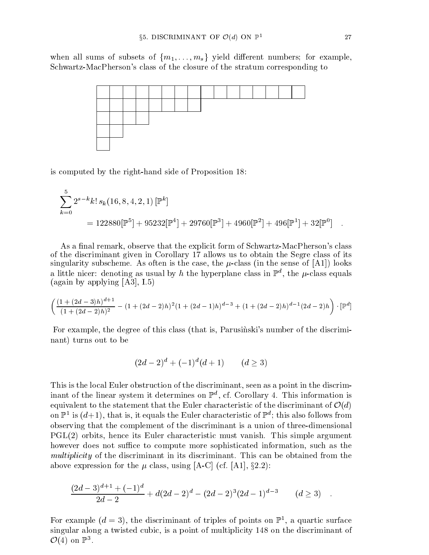when all sums of subsets of  ${m_1,...,m_s}$  yield different numbers; for example, Schwartz-MacPherson's class of the closure of the stratum corresponding to



is computed by the right-hand side of Proposition 18:

$$
\sum_{k=0}^{5} 2^{s-k} k! s_k (16, 8, 4, 2, 1) [\mathbb{P}^k]
$$
  
= 122880[ $\mathbb{P}^5$ ] + 95232[ $\mathbb{P}^4$ ] + 29760[ $\mathbb{P}^3$ ] + 4960[ $\mathbb{P}^2$ ] + 496[ $\mathbb{P}^1$ ] + 32[ $\mathbb{P}^0$ ] .

As a final remark, observe that the explicit form of Schwartz-MacPherson's class of the discriminant given in Corollary 17 allows us to obtain the Segre class of its singularity subscheme. As often is the case, the  $\mu$ -class (in the sense of [A1]) looks a mule nicer: denoting as usual by  $n$  the hyperplane class in  $\mathbb{F}^n$ , the  $\mu$ -class equals (again by applying [A3], I.5)

$$
\left(\frac{(1+(2d-3)h)^{d+1}}{(1+(2d-2)h)^2}-(1+(2d-2)h)^2(1+(2d-1)h)^{d-3}+(1+(2d-2)h)^{d-1}(2d-2)h\right)\cdot\left[\mathbb{P}^d\right]
$$

For example, the degree of this class (that is, Parusinski's number of the discriminant) turns out to be

$$
(2d-2)^d + (-1)^d (d+1) \qquad (d \ge 3)
$$

This is the local Euler obstruction of the discriminant, seen as a point in the discrim- $\min$  of the linear system it determines on F $^+$ , cf. Corollary 4. This information is equivalent to the statement that the State that the Company characteristic of the discriminant of O(d) on  $\mathbb{F}_1$  is  $(a+1)$ , that is, it equals the Euler characteristic of  $\mathbb{F}_2$  this also follows from observing that the complement of the discriminant is a union of three-dimensional PGL(2) orbits, hence its Euler characteristic must vanish. This simple argument however does not suffice to compute more sophisticated information, such as the multiplicity of the discriminant in its discriminant. This can be obtained from the above expression for the  $\mu$  class, using [A-C] (cf. [A1], §2.2):

$$
\frac{(2d-3)^{d+1} + (-1)^d}{2d-2} + d(2d-2)^d - (2d-2)^3(2d-1)^{d-3} \qquad (d \ge 3) \quad .
$$

For example  $(a = 3)$ , the discriminant of triples of points on F<sub>1</sub>, a quartic surface singular along a twisted cubic, is a point of multiplicity 148 on the discriminant of  $\mathcal{O}(4)$  on F<sup>3</sup>.